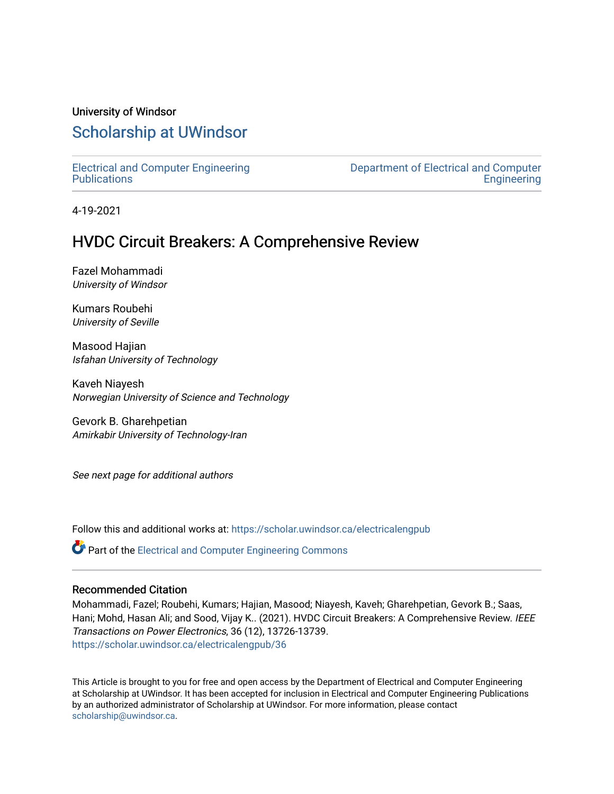# University of Windsor [Scholarship at UWindsor](https://scholar.uwindsor.ca/)

[Electrical and Computer Engineering](https://scholar.uwindsor.ca/electricalengpub) **Publications** 

[Department of Electrical and Computer](https://scholar.uwindsor.ca/electrical)  **Engineering** 

4-19-2021

# HVDC Circuit Breakers: A Comprehensive Review

Fazel Mohammadi University of Windsor

Kumars Roubehi University of Seville

Masood Hajian Isfahan University of Technology

Kaveh Niayesh Norwegian University of Science and Technology

Gevork B. Gharehpetian Amirkabir University of Technology-Iran

See next page for additional authors

Follow this and additional works at: [https://scholar.uwindsor.ca/electricalengpub](https://scholar.uwindsor.ca/electricalengpub?utm_source=scholar.uwindsor.ca%2Felectricalengpub%2F36&utm_medium=PDF&utm_campaign=PDFCoverPages)

Part of the [Electrical and Computer Engineering Commons](http://network.bepress.com/hgg/discipline/266?utm_source=scholar.uwindsor.ca%2Felectricalengpub%2F36&utm_medium=PDF&utm_campaign=PDFCoverPages) 

# Recommended Citation

Mohammadi, Fazel; Roubehi, Kumars; Hajian, Masood; Niayesh, Kaveh; Gharehpetian, Gevork B.; Saas, Hani; Mohd, Hasan Ali; and Sood, Vijay K.. (2021). HVDC Circuit Breakers: A Comprehensive Review. IEEE Transactions on Power Electronics, 36 (12), 13726-13739. [https://scholar.uwindsor.ca/electricalengpub/36](https://scholar.uwindsor.ca/electricalengpub/36?utm_source=scholar.uwindsor.ca%2Felectricalengpub%2F36&utm_medium=PDF&utm_campaign=PDFCoverPages) 

This Article is brought to you for free and open access by the Department of Electrical and Computer Engineering at Scholarship at UWindsor. It has been accepted for inclusion in Electrical and Computer Engineering Publications by an authorized administrator of Scholarship at UWindsor. For more information, please contact [scholarship@uwindsor.ca.](mailto:scholarship@uwindsor.ca)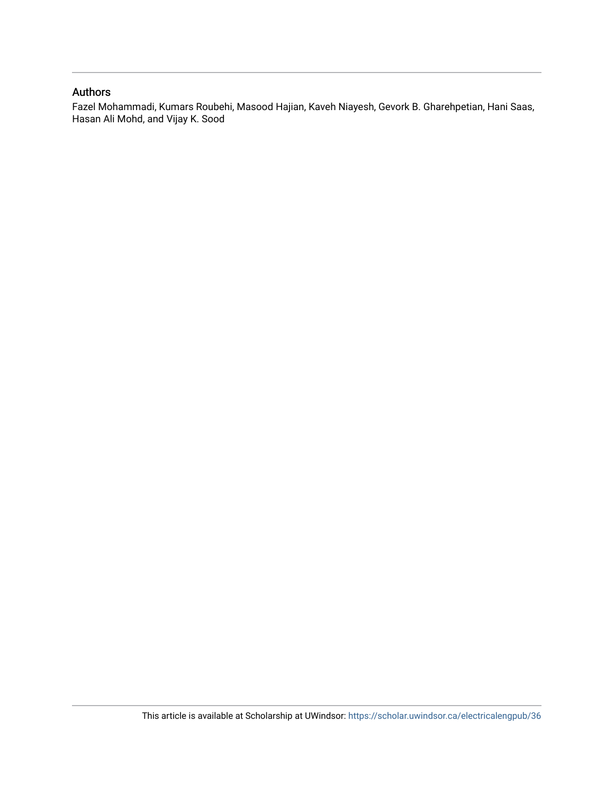# Authors

Fazel Mohammadi, Kumars Roubehi, Masood Hajian, Kaveh Niayesh, Gevork B. Gharehpetian, Hani Saas, Hasan Ali Mohd, and Vijay K. Sood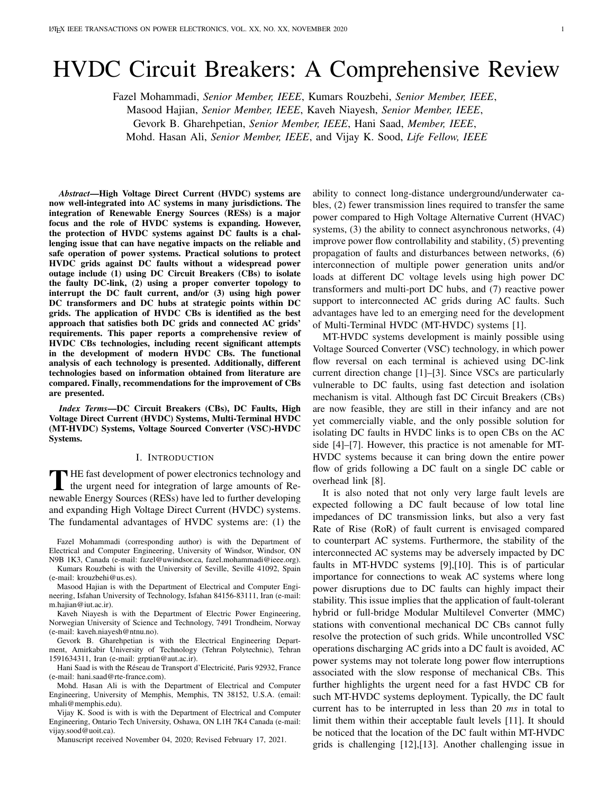# HVDC Circuit Breakers: A Comprehensive Review

Fazel Mohammadi, *Senior Member, IEEE*, Kumars Rouzbehi, *Senior Member, IEEE*,

Masood Hajian, *Senior Member, IEEE*, Kaveh Niayesh, *Senior Member, IEEE*,

Gevork B. Gharehpetian, *Senior Member, IEEE*, Hani Saad, *Member, IEEE*,

Mohd. Hasan Ali, *Senior Member, IEEE*, and Vijay K. Sood, *Life Fellow, IEEE*

*Abstract*—High Voltage Direct Current (HVDC) systems are now well-integrated into AC systems in many jurisdictions. The integration of Renewable Energy Sources (RESs) is a major focus and the role of HVDC systems is expanding. However, the protection of HVDC systems against DC faults is a challenging issue that can have negative impacts on the reliable and safe operation of power systems. Practical solutions to protect HVDC grids against DC faults without a widespread power outage include (1) using DC Circuit Breakers (CBs) to isolate the faulty DC-link, (2) using a proper converter topology to interrupt the DC fault current, and/or (3) using high power DC transformers and DC hubs at strategic points within DC grids. The application of HVDC CBs is identified as the best approach that satisfies both DC grids and connected AC grids' requirements. This paper reports a comprehensive review of HVDC CBs technologies, including recent significant attempts in the development of modern HVDC CBs. The functional analysis of each technology is presented. Additionally, different technologies based on information obtained from literature are compared. Finally, recommendations for the improvement of CBs are presented.

*Index Terms*—DC Circuit Breakers (CBs), DC Faults, High Voltage Direct Current (HVDC) Systems, Multi-Terminal HVDC (MT-HVDC) Systems, Voltage Sourced Converter (VSC)-HVDC Systems.

### I. INTRODUCTION

THE fast development of power electronics technology and<br>the urgent need for integration of large amounts of Re-<br>manual Lineary Sequence (DES) have led to further developing the urgent need for integration of large amounts of Renewable Energy Sources (RESs) have led to further developing and expanding High Voltage Direct Current (HVDC) systems. The fundamental advantages of HVDC systems are: (1) the

Fazel Mohammadi (corresponding author) is with the Department of Electrical and Computer Engineering, University of Windsor, Windsor, ON N9B 1K3, Canada (e-mail: fazel@uwindsor.ca, fazel.mohammadi@ieee.org).

Kumars Rouzbehi is with the University of Seville, Seville 41092, Spain (e-mail: krouzbehi@us.es).

Masood Hajian is with the Department of Electrical and Computer Engineering, Isfahan University of Technology, Isfahan 84156-83111, Iran (e-mail: m.hajian@iut.ac.ir).

Kaveh Niayesh is with the Department of Electric Power Engineering, Norwegian University of Science and Technology, 7491 Trondheim, Norway (e-mail: kaveh.niayesh@ntnu.no).

Gevork B. Gharehpetian is with the Electrical Engineering Department, Amirkabir University of Technology (Tehran Polytechnic), Tehran 1591634311, Iran (e-mail: grptian@aut.ac.ir).

Hani Saad is with the Réseau de Transport d'Electricité, Paris 92932, France (e-mail: hani.saad@rte-france.com).

Mohd. Hasan Ali is with the Department of Electrical and Computer Engineering, University of Memphis, Memphis, TN 38152, U.S.A. (email: mhali@memphis.edu).

Vijay K. Sood is with is with the Department of Electrical and Computer Engineering, Ontario Tech University, Oshawa, ON L1H 7K4 Canada (e-mail: vijay.sood@uoit.ca).

Manuscript received November 04, 2020; Revised February 17, 2021.

ability to connect long-distance underground/underwater cables, (2) fewer transmission lines required to transfer the same power compared to High Voltage Alternative Current (HVAC) systems, (3) the ability to connect asynchronous networks, (4) improve power flow controllability and stability, (5) preventing propagation of faults and disturbances between networks, (6) interconnection of multiple power generation units and/or loads at different DC voltage levels using high power DC transformers and multi-port DC hubs, and (7) reactive power support to interconnected AC grids during AC faults. Such advantages have led to an emerging need for the development of Multi-Terminal HVDC (MT-HVDC) systems [\[1\]](#page-11-0).

MT-HVDC systems development is mainly possible using Voltage Sourced Converter (VSC) technology, in which power flow reversal on each terminal is achieved using DC-link current direction change [\[1\]](#page-11-0)–[\[3\]](#page-11-1). Since VSCs are particularly vulnerable to DC faults, using fast detection and isolation mechanism is vital. Although fast DC Circuit Breakers (CBs) are now feasible, they are still in their infancy and are not yet commercially viable, and the only possible solution for isolating DC faults in HVDC links is to open CBs on the AC side [\[4\]](#page-11-2)–[\[7\]](#page-11-3). However, this practice is not amenable for MT-HVDC systems because it can bring down the entire power flow of grids following a DC fault on a single DC cable or overhead link [\[8\]](#page-11-4).

It is also noted that not only very large fault levels are expected following a DC fault because of low total line impedances of DC transmission links, but also a very fast Rate of Rise (RoR) of fault current is envisaged compared to counterpart AC systems. Furthermore, the stability of the interconnected AC systems may be adversely impacted by DC faults in MT-HVDC systems [\[9\]](#page-11-5),[\[10\]](#page-11-6). This is of particular importance for connections to weak AC systems where long power disruptions due to DC faults can highly impact their stability. This issue implies that the application of fault-tolerant hybrid or full-bridge Modular Multilevel Converter (MMC) stations with conventional mechanical DC CBs cannot fully resolve the protection of such grids. While uncontrolled VSC operations discharging AC grids into a DC fault is avoided, AC power systems may not tolerate long power flow interruptions associated with the slow response of mechanical CBs. This further highlights the urgent need for a fast HVDC CB for such MT-HVDC systems deployment. Typically, the DC fault current has to be interrupted in less than 20 *ms* in total to limit them within their acceptable fault levels [\[11\]](#page-11-7). It should be noticed that the location of the DC fault within MT-HVDC grids is challenging [\[12\]](#page-11-8),[\[13\]](#page-11-9). Another challenging issue in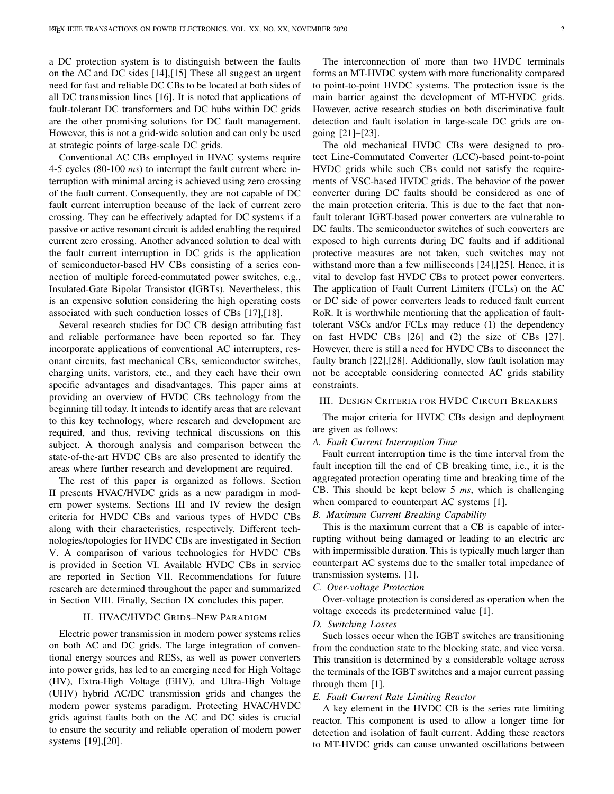a DC protection system is to distinguish between the faults on the AC and DC sides [\[14\]](#page-11-10),[\[15\]](#page-11-11) These all suggest an urgent need for fast and reliable DC CBs to be located at both sides of all DC transmission lines [\[16\]](#page-11-12). It is noted that applications of fault-tolerant DC transformers and DC hubs within DC grids are the other promising solutions for DC fault management. However, this is not a grid-wide solution and can only be used at strategic points of large-scale DC grids.

Conventional AC CBs employed in HVAC systems require 4-5 cycles (80-100 *ms*) to interrupt the fault current where interruption with minimal arcing is achieved using zero crossing of the fault current. Consequently, they are not capable of DC fault current interruption because of the lack of current zero crossing. They can be effectively adapted for DC systems if a passive or active resonant circuit is added enabling the required current zero crossing. Another advanced solution to deal with the fault current interruption in DC grids is the application of semiconductor-based HV CBs consisting of a series connection of multiple forced-commutated power switches, e.g., Insulated-Gate Bipolar Transistor (IGBTs). Nevertheless, this is an expensive solution considering the high operating costs associated with such conduction losses of CBs [\[17\]](#page-11-13),[\[18\]](#page-11-14).

Several research studies for DC CB design attributing fast and reliable performance have been reported so far. They incorporate applications of conventional AC interrupters, resonant circuits, fast mechanical CBs, semiconductor switches, charging units, varistors, etc., and they each have their own specific advantages and disadvantages. This paper aims at providing an overview of HVDC CBs technology from the beginning till today. It intends to identify areas that are relevant to this key technology, where research and development are required, and thus, reviving technical discussions on this subject. A thorough analysis and comparison between the state-of-the-art HVDC CBs are also presented to identify the areas where further research and development are required.

The rest of this paper is organized as follows. Section [II](#page-3-0) presents HVAC/HVDC grids as a new paradigm in modern power systems. Sections [III](#page-3-1) and [IV](#page-4-0) review the design criteria for HVDC CBs and various types of HVDC CBs along with their characteristics, respectively. Different technologies/topologies for HVDC CBs are investigated in Section [V.](#page-5-0) A comparison of various technologies for HVDC CBs is provided in Section [VI.](#page-9-0) Available HVDC CBs in service are reported in Section [VII.](#page-9-1) Recommendations for future research are determined throughout the paper and summarized in Section [VIII.](#page-10-0) Finally, Section [IX](#page-11-15) concludes this paper.

## II. HVAC/HVDC GRIDS–NEW PARADIGM

<span id="page-3-0"></span>Electric power transmission in modern power systems relies on both AC and DC grids. The large integration of conventional energy sources and RESs, as well as power converters into power grids, has led to an emerging need for High Voltage (HV), Extra-High Voltage (EHV), and Ultra-High Voltage (UHV) hybrid AC/DC transmission grids and changes the modern power systems paradigm. Protecting HVAC/HVDC grids against faults both on the AC and DC sides is crucial to ensure the security and reliable operation of modern power systems [\[19\]](#page-11-16),[\[20\]](#page-11-17).

The interconnection of more than two HVDC terminals forms an MT-HVDC system with more functionality compared to point-to-point HVDC systems. The protection issue is the main barrier against the development of MT-HVDC grids. However, active research studies on both discriminative fault detection and fault isolation in large-scale DC grids are ongoing [\[21\]](#page-11-18)–[\[23\]](#page-11-19).

The old mechanical HVDC CBs were designed to protect Line-Commutated Converter (LCC)-based point-to-point HVDC grids while such CBs could not satisfy the requirements of VSC-based HVDC grids. The behavior of the power converter during DC faults should be considered as one of the main protection criteria. This is due to the fact that nonfault tolerant IGBT-based power converters are vulnerable to DC faults. The semiconductor switches of such converters are exposed to high currents during DC faults and if additional protective measures are not taken, such switches may not withstand more than a few milliseconds [\[24\]](#page-11-20),[\[25\]](#page-12-0). Hence, it is vital to develop fast HVDC CBs to protect power converters. The application of Fault Current Limiters (FCLs) on the AC or DC side of power converters leads to reduced fault current RoR. It is worthwhile mentioning that the application of faulttolerant VSCs and/or FCLs may reduce (1) the dependency on fast HVDC CBs [\[26\]](#page-12-1) and (2) the size of CBs [\[27\]](#page-12-2). However, there is still a need for HVDC CBs to disconnect the faulty branch [\[22\]](#page-11-21),[\[28\]](#page-12-3). Additionally, slow fault isolation may not be acceptable considering connected AC grids stability constraints.

#### <span id="page-3-1"></span>III. DESIGN CRITERIA FOR HVDC CIRCUIT BREAKERS

The major criteria for HVDC CBs design and deployment are given as follows:

#### *A. Fault Current Interruption Time*

Fault current interruption time is the time interval from the fault inception till the end of CB breaking time, i.e., it is the aggregated protection operating time and breaking time of the CB. This should be kept below 5 *ms*, which is challenging when compared to counterpart AC systems [\[1\]](#page-11-0).

#### *B. Maximum Current Breaking Capability*

This is the maximum current that a CB is capable of interrupting without being damaged or leading to an electric arc with impermissible duration. This is typically much larger than counterpart AC systems due to the smaller total impedance of transmission systems. [\[1\]](#page-11-0).

#### *C. Over-voltage Protection*

Over-voltage protection is considered as operation when the voltage exceeds its predetermined value [\[1\]](#page-11-0).

#### *D. Switching Losses*

Such losses occur when the IGBT switches are transitioning from the conduction state to the blocking state, and vice versa. This transition is determined by a considerable voltage across the terminals of the IGBT switches and a major current passing through them [\[1\]](#page-11-0).

## *E. Fault Current Rate Limiting Reactor*

A key element in the HVDC CB is the series rate limiting reactor. This component is used to allow a longer time for detection and isolation of fault current. Adding these reactors to MT-HVDC grids can cause unwanted oscillations between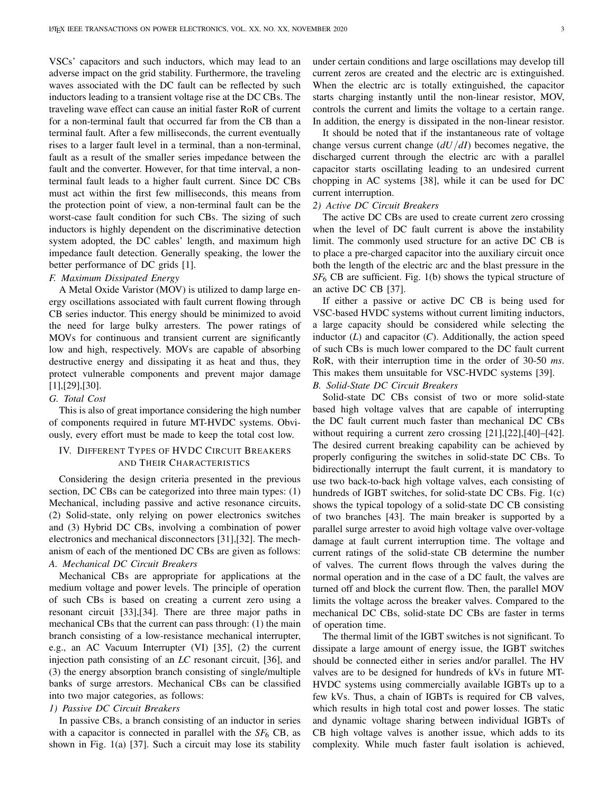VSCs' capacitors and such inductors, which may lead to an adverse impact on the grid stability. Furthermore, the traveling waves associated with the DC fault can be reflected by such inductors leading to a transient voltage rise at the DC CBs. The traveling wave effect can cause an initial faster RoR of current for a non-terminal fault that occurred far from the CB than a terminal fault. After a few milliseconds, the current eventually rises to a larger fault level in a terminal, than a non-terminal, fault as a result of the smaller series impedance between the fault and the converter. However, for that time interval, a nonterminal fault leads to a higher fault current. Since DC CBs must act within the first few milliseconds, this means from the protection point of view, a non-terminal fault can be the worst-case fault condition for such CBs. The sizing of such inductors is highly dependent on the discriminative detection system adopted, the DC cables' length, and maximum high impedance fault detection. Generally speaking, the lower the better performance of DC grids [\[1\]](#page-11-0).

# *F. Maximum Dissipated Energy*

A Metal Oxide Varistor (MOV) is utilized to damp large energy oscillations associated with fault current flowing through CB series inductor. This energy should be minimized to avoid the need for large bulky arresters. The power ratings of MOVs for continuous and transient current are significantly low and high, respectively. MOVs are capable of absorbing destructive energy and dissipating it as heat and thus, they protect vulnerable components and prevent major damage [\[1\]](#page-11-0),[\[29\]](#page-12-4),[\[30\]](#page-12-5).

#### *G. Total Cost*

This is also of great importance considering the high number of components required in future MT-HVDC systems. Obviously, every effort must be made to keep the total cost low.

# <span id="page-4-0"></span>IV. DIFFERENT TYPES OF HVDC CIRCUIT BREAKERS AND THEIR CHARACTERISTICS

Considering the design criteria presented in the previous section, DC CBs can be categorized into three main types:  $(1)$ Mechanical, including passive and active resonance circuits, (2) Solid-state, only relying on power electronics switches and (3) Hybrid DC CBs, involving a combination of power electronics and mechanical disconnectors [\[31\]](#page-12-6),[\[32\]](#page-12-7). The mechanism of each of the mentioned DC CBs are given as follows: *A. Mechanical DC Circuit Breakers*

Mechanical CBs are appropriate for applications at the medium voltage and power levels. The principle of operation of such CBs is based on creating a current zero using a resonant circuit [\[33\]](#page-12-8),[\[34\]](#page-12-9). There are three major paths in mechanical CBs that the current can pass through: (1) the main branch consisting of a low-resistance mechanical interrupter, e.g., an AC Vacuum Interrupter (VI) [\[35\]](#page-12-10), (2) the current injection path consisting of an *LC* resonant circuit, [\[36\]](#page-12-11), and (3) the energy absorption branch consisting of single/multiple banks of surge arrestors. Mechanical CBs can be classified into two major categories, as follows:

# *1) Passive DC Circuit Breakers*

In passive CBs, a branch consisting of an inductor in series with a capacitor is connected in parallel with the  $SF<sub>6</sub>$  CB, as shown in Fig. [1\(](#page-5-1)a) [\[37\]](#page-12-12). Such a circuit may lose its stability under certain conditions and large oscillations may develop till current zeros are created and the electric arc is extinguished. When the electric arc is totally extinguished, the capacitor starts charging instantly until the non-linear resistor, MOV, controls the current and limits the voltage to a certain range. In addition, the energy is dissipated in the non-linear resistor.

It should be noted that if the instantaneous rate of voltage change versus current change (*dU*/*dI*) becomes negative, the discharged current through the electric arc with a parallel capacitor starts oscillating leading to an undesired current chopping in AC systems [\[38\]](#page-12-13), while it can be used for DC current interruption.

# *2) Active DC Circuit Breakers*

The active DC CBs are used to create current zero crossing when the level of DC fault current is above the instability limit. The commonly used structure for an active DC CB is to place a pre-charged capacitor into the auxiliary circuit once both the length of the electric arc and the blast pressure in the *SF*<sup>6</sup> CB are sufficient. Fig. [1\(](#page-5-1)b) shows the typical structure of an active DC CB [\[37\]](#page-12-12).

If either a passive or active DC CB is being used for VSC-based HVDC systems without current limiting inductors, a large capacity should be considered while selecting the inductor  $(L)$  and capacitor  $(C)$ . Additionally, the action speed of such CBs is much lower compared to the DC fault current RoR, with their interruption time in the order of 30-50 *ms*. This makes them unsuitable for VSC-HVDC systems [\[39\]](#page-12-14).

# *B. Solid-State DC Circuit Breakers*

Solid-state DC CBs consist of two or more solid-state based high voltage valves that are capable of interrupting the DC fault current much faster than mechanical DC CBs without requiring a current zero crossing [\[21\]](#page-11-18),[\[22\]](#page-11-21),[\[40\]](#page-12-15)–[\[42\]](#page-12-16). The desired current breaking capability can be achieved by properly configuring the switches in solid-state DC CBs. To bidirectionally interrupt the fault current, it is mandatory to use two back-to-back high voltage valves, each consisting of hundreds of IGBT switches, for solid-state DC CBs. Fig. [1\(](#page-5-1)c) shows the typical topology of a solid-state DC CB consisting of two branches [\[43\]](#page-12-17). The main breaker is supported by a parallel surge arrester to avoid high voltage valve over-voltage damage at fault current interruption time. The voltage and current ratings of the solid-state CB determine the number of valves. The current flows through the valves during the normal operation and in the case of a DC fault, the valves are turned off and block the current flow. Then, the parallel MOV limits the voltage across the breaker valves. Compared to the mechanical DC CBs, solid-state DC CBs are faster in terms of operation time.

The thermal limit of the IGBT switches is not significant. To dissipate a large amount of energy issue, the IGBT switches should be connected either in series and/or parallel. The HV valves are to be designed for hundreds of kVs in future MT-HVDC systems using commercially available IGBTs up to a few kVs. Thus, a chain of IGBTs is required for CB valves, which results in high total cost and power losses. The static and dynamic voltage sharing between individual IGBTs of CB high voltage valves is another issue, which adds to its complexity. While much faster fault isolation is achieved,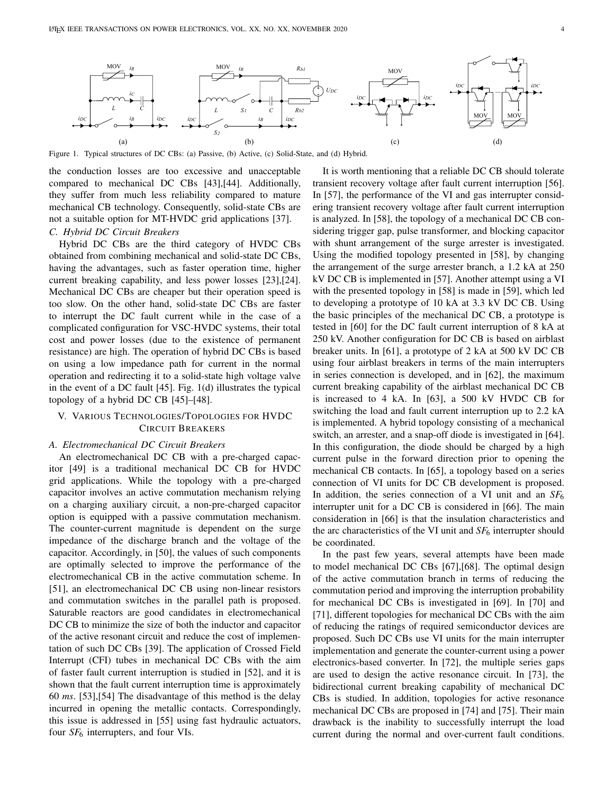<span id="page-5-1"></span>

Figure 1. Typical structures of DC CBs: (a) Passive, (b) Active, (c) Solid-State, and (d) Hybrid.

the conduction losses are too excessive and unacceptable compared to mechanical DC CBs [\[43\]](#page-12-17),[\[44\]](#page-12-18). Additionally, they suffer from much less reliability compared to mature mechanical CB technology. Consequently, solid-state CBs are not a suitable option for MT-HVDC grid applications [\[37\]](#page-12-12).

# *C. Hybrid DC Circuit Breakers*

Hybrid DC CBs are the third category of HVDC CBs obtained from combining mechanical and solid-state DC CBs, having the advantages, such as faster operation time, higher current breaking capability, and less power losses [\[23\]](#page-11-19),[\[24\]](#page-11-20). Mechanical DC CBs are cheaper but their operation speed is too slow. On the other hand, solid-state DC CBs are faster to interrupt the DC fault current while in the case of a complicated configuration for VSC-HVDC systems, their total cost and power losses (due to the existence of permanent resistance) are high. The operation of hybrid DC CBs is based on using a low impedance path for current in the normal operation and redirecting it to a solid-state high voltage valve in the event of a DC fault [\[45\]](#page-12-19). Fig. [1\(](#page-5-1)d) illustrates the typical topology of a hybrid DC CB [\[45\]](#page-12-19)–[\[48\]](#page-12-20).

# <span id="page-5-0"></span>V. VARIOUS TECHNOLOGIES/TOPOLOGIES FOR HVDC CIRCUIT BREAKERS

### *A. Electromechanical DC Circuit Breakers*

An electromechanical DC CB with a pre-charged capacitor [\[49\]](#page-12-21) is a traditional mechanical DC CB for HVDC grid applications. While the topology with a pre-charged capacitor involves an active commutation mechanism relying on a charging auxiliary circuit, a non-pre-charged capacitor option is equipped with a passive commutation mechanism. The counter-current magnitude is dependent on the surge impedance of the discharge branch and the voltage of the capacitor. Accordingly, in [\[50\]](#page-12-22), the values of such components are optimally selected to improve the performance of the electromechanical CB in the active commutation scheme. In [\[51\]](#page-12-23), an electromechanical DC CB using non-linear resistors and commutation switches in the parallel path is proposed. Saturable reactors are good candidates in electromechanical DC CB to minimize the size of both the inductor and capacitor of the active resonant circuit and reduce the cost of implementation of such DC CBs [\[39\]](#page-12-14). The application of Crossed Field Interrupt (CFI) tubes in mechanical DC CBs with the aim of faster fault current interruption is studied in [\[52\]](#page-12-24), and it is shown that the fault current interruption time is approximately 60 *ms*. [\[53\]](#page-12-25),[\[54\]](#page-12-26) The disadvantage of this method is the delay incurred in opening the metallic contacts. Correspondingly, this issue is addressed in [\[55\]](#page-12-27) using fast hydraulic actuators, four *SF*<sup>6</sup> interrupters, and four VIs.

It is worth mentioning that a reliable DC CB should tolerate transient recovery voltage after fault current interruption [\[56\]](#page-12-28). In [\[57\]](#page-12-29), the performance of the VI and gas interrupter considering transient recovery voltage after fault current interruption is analyzed. In [\[58\]](#page-12-30), the topology of a mechanical DC CB considering trigger gap, pulse transformer, and blocking capacitor with shunt arrangement of the surge arrester is investigated. Using the modified topology presented in [\[58\]](#page-12-30), by changing the arrangement of the surge arrester branch, a 1.2 kA at 250 kV DC CB is implemented in [\[57\]](#page-12-29). Another attempt using a VI with the presented topology in [\[58\]](#page-12-30) is made in [\[59\]](#page-12-31), which led to developing a prototype of 10 kA at 3.3 kV DC CB. Using the basic principles of the mechanical DC CB, a prototype is tested in [\[60\]](#page-12-32) for the DC fault current interruption of 8 kA at 250 kV. Another configuration for DC CB is based on airblast breaker units. In [\[61\]](#page-12-33), a prototype of 2 kA at 500 kV DC CB using four airblast breakers in terms of the main interrupters in series connection is developed, and in [\[62\]](#page-12-34), the maximum current breaking capability of the airblast mechanical DC CB is increased to 4 kA. In [\[63\]](#page-12-35), a 500 kV HVDC CB for switching the load and fault current interruption up to 2.2 kA is implemented. A hybrid topology consisting of a mechanical switch, an arrester, and a snap-off diode is investigated in [\[64\]](#page-12-36). In this configuration, the diode should be charged by a high current pulse in the forward direction prior to opening the mechanical CB contacts. In [\[65\]](#page-12-37), a topology based on a series connection of VI units for DC CB development is proposed. In addition, the series connection of a VI unit and an *SF*<sup>6</sup> interrupter unit for a DC CB is considered in [\[66\]](#page-12-38). The main consideration in [\[66\]](#page-12-38) is that the insulation characteristics and the arc characteristics of the VI unit and  $SF<sub>6</sub>$  interrupter should be coordinated.

In the past few years, several attempts have been made to model mechanical DC CBs [\[67\]](#page-12-39),[\[68\]](#page-12-40). The optimal design of the active commutation branch in terms of reducing the commutation period and improving the interruption probability for mechanical DC CBs is investigated in [\[69\]](#page-12-41). In [\[70\]](#page-12-42) and [\[71\]](#page-12-43), different topologies for mechanical DC CBs with the aim of reducing the ratings of required semiconductor devices are proposed. Such DC CBs use VI units for the main interrupter implementation and generate the counter-current using a power electronics-based converter. In [\[72\]](#page-12-44), the multiple series gaps are used to design the active resonance circuit. In [\[73\]](#page-12-45), the bidirectional current breaking capability of mechanical DC CBs is studied. In addition, topologies for active resonance mechanical DC CBs are proposed in [\[74\]](#page-12-46) and [\[75\]](#page-12-47). Their main drawback is the inability to successfully interrupt the load current during the normal and over-current fault conditions.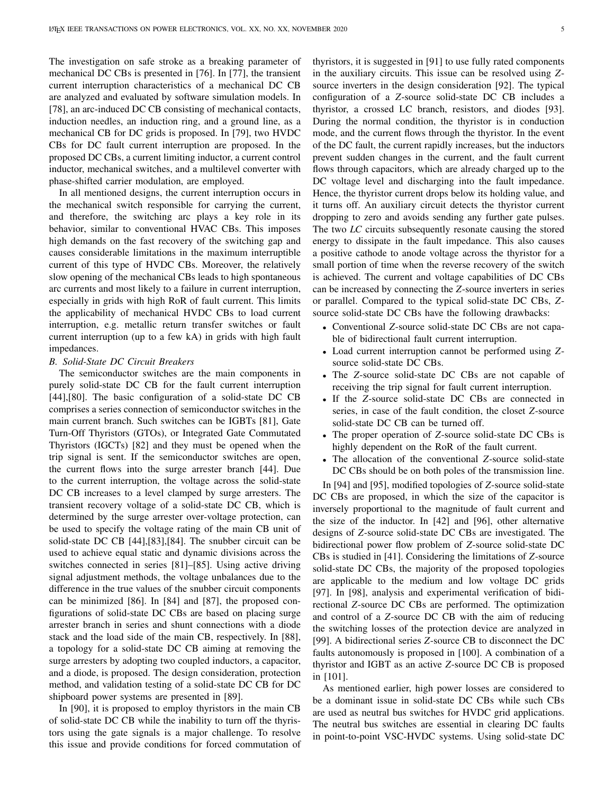The investigation on safe stroke as a breaking parameter of mechanical DC CBs is presented in [\[76\]](#page-12-48). In [\[77\]](#page-12-49), the transient current interruption characteristics of a mechanical DC CB are analyzed and evaluated by software simulation models. In [\[78\]](#page-12-50), an arc-induced DC CB consisting of mechanical contacts, induction needles, an induction ring, and a ground line, as a mechanical CB for DC grids is proposed. In [\[79\]](#page-12-51), two HVDC CBs for DC fault current interruption are proposed. In the proposed DC CBs, a current limiting inductor, a current control inductor, mechanical switches, and a multilevel converter with phase-shifted carrier modulation, are employed.

In all mentioned designs, the current interruption occurs in the mechanical switch responsible for carrying the current, and therefore, the switching arc plays a key role in its behavior, similar to conventional HVAC CBs. This imposes high demands on the fast recovery of the switching gap and causes considerable limitations in the maximum interruptible current of this type of HVDC CBs. Moreover, the relatively slow opening of the mechanical CBs leads to high spontaneous arc currents and most likely to a failure in current interruption, especially in grids with high RoR of fault current. This limits the applicability of mechanical HVDC CBs to load current interruption, e.g. metallic return transfer switches or fault current interruption (up to a few kA) in grids with high fault impedances.

#### *B. Solid-State DC Circuit Breakers*

The semiconductor switches are the main components in purely solid-state DC CB for the fault current interruption [\[44\]](#page-12-18),[\[80\]](#page-12-52). The basic configuration of a solid-state DC CB comprises a series connection of semiconductor switches in the main current branch. Such switches can be IGBTs [\[81\]](#page-12-53), Gate Turn-Off Thyristors (GTOs), or Integrated Gate Commutated Thyristors (IGCTs) [\[82\]](#page-12-54) and they must be opened when the trip signal is sent. If the semiconductor switches are open, the current flows into the surge arrester branch [\[44\]](#page-12-18). Due to the current interruption, the voltage across the solid-state DC CB increases to a level clamped by surge arresters. The transient recovery voltage of a solid-state DC CB, which is determined by the surge arrester over-voltage protection, can be used to specify the voltage rating of the main CB unit of solid-state DC CB [\[44\]](#page-12-18),[\[83\]](#page-12-55),[\[84\]](#page-13-0). The snubber circuit can be used to achieve equal static and dynamic divisions across the switches connected in series [\[81\]](#page-12-53)–[\[85\]](#page-13-1). Using active driving signal adjustment methods, the voltage unbalances due to the difference in the true values of the snubber circuit components can be minimized [\[86\]](#page-13-2). In [\[84\]](#page-13-0) and [\[87\]](#page-13-3), the proposed configurations of solid-state DC CBs are based on placing surge arrester branch in series and shunt connections with a diode stack and the load side of the main CB, respectively. In [\[88\]](#page-13-4), a topology for a solid-state DC CB aiming at removing the surge arresters by adopting two coupled inductors, a capacitor, and a diode, is proposed. The design consideration, protection method, and validation testing of a solid-state DC CB for DC shipboard power systems are presented in [\[89\]](#page-13-5).

In [\[90\]](#page-13-6), it is proposed to employ thyristors in the main CB of solid-state DC CB while the inability to turn off the thyristors using the gate signals is a major challenge. To resolve this issue and provide conditions for forced commutation of thyristors, it is suggested in [\[91\]](#page-13-7) to use fully rated components in the auxiliary circuits. This issue can be resolved using *Z*source inverters in the design consideration [\[92\]](#page-13-8). The typical configuration of a *Z*-source solid-state DC CB includes a thyristor, a crossed LC branch, resistors, and diodes [\[93\]](#page-13-9). During the normal condition, the thyristor is in conduction mode, and the current flows through the thyristor. In the event of the DC fault, the current rapidly increases, but the inductors prevent sudden changes in the current, and the fault current flows through capacitors, which are already charged up to the DC voltage level and discharging into the fault impedance. Hence, the thyristor current drops below its holding value, and it turns off. An auxiliary circuit detects the thyristor current dropping to zero and avoids sending any further gate pulses. The two *LC* circuits subsequently resonate causing the stored energy to dissipate in the fault impedance. This also causes a positive cathode to anode voltage across the thyristor for a small portion of time when the reverse recovery of the switch is achieved. The current and voltage capabilities of DC CBs can be increased by connecting the *Z*-source inverters in series or parallel. Compared to the typical solid-state DC CBs, *Z*source solid-state DC CBs have the following drawbacks:

- Conventional *Z*-source solid-state DC CBs are not capable of bidirectional fault current interruption.
- Load current interruption cannot be performed using *Z*source solid-state DC CBs.
- The *Z*-source solid-state DC CBs are not capable of receiving the trip signal for fault current interruption.
- If the *Z*-source solid-state DC CBs are connected in series, in case of the fault condition, the closet *Z*-source solid-state DC CB can be turned off.
- The proper operation of *Z*-source solid-state DC CBs is highly dependent on the RoR of the fault current.
- The allocation of the conventional *Z*-source solid-state DC CBs should be on both poles of the transmission line.

In [\[94\]](#page-13-10) and [\[95\]](#page-13-11), modified topologies of *Z*-source solid-state DC CBs are proposed, in which the size of the capacitor is inversely proportional to the magnitude of fault current and the size of the inductor. In [\[42\]](#page-12-16) and [\[96\]](#page-13-12), other alternative designs of *Z*-source solid-state DC CBs are investigated. The bidirectional power flow problem of *Z*-source solid-state DC CBs is studied in [\[41\]](#page-12-56). Considering the limitations of *Z*-source solid-state DC CBs, the majority of the proposed topologies are applicable to the medium and low voltage DC grids [\[97\]](#page-13-13). In [\[98\]](#page-13-14), analysis and experimental verification of bidirectional *Z*-source DC CBs are performed. The optimization and control of a *Z*-source DC CB with the aim of reducing the switching losses of the protection device are analyzed in [\[99\]](#page-13-15). A bidirectional series *Z*-source CB to disconnect the DC faults autonomously is proposed in [\[100\]](#page-13-16). A combination of a thyristor and IGBT as an active *Z*-source DC CB is proposed in [\[101\]](#page-13-17).

As mentioned earlier, high power losses are considered to be a dominant issue in solid-state DC CBs while such CBs are used as neutral bus switches for HVDC grid applications. The neutral bus switches are essential in clearing DC faults in point-to-point VSC-HVDC systems. Using solid-state DC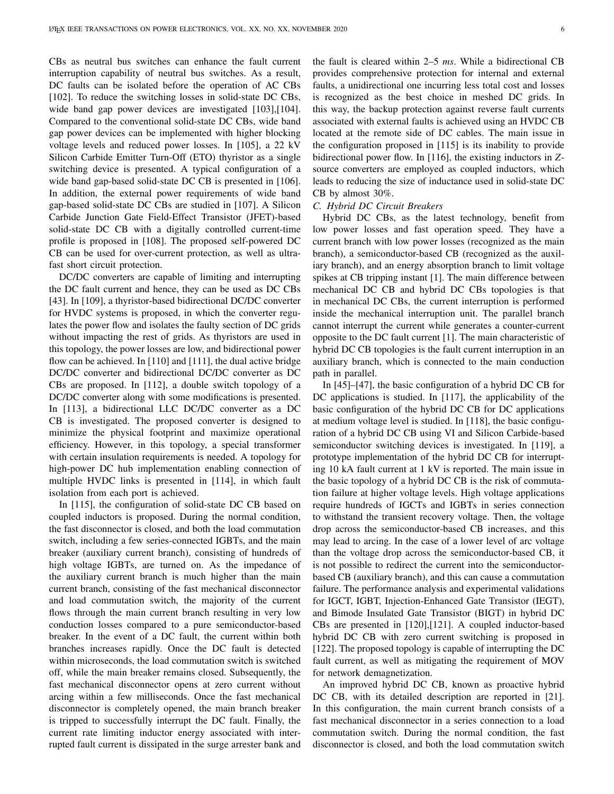CBs as neutral bus switches can enhance the fault current interruption capability of neutral bus switches. As a result, DC faults can be isolated before the operation of AC CBs [\[102\]](#page-13-18). To reduce the switching losses in solid-state DC CBs, wide band gap power devices are investigated [\[103\]](#page-13-19),[\[104\]](#page-13-20). Compared to the conventional solid-state DC CBs, wide band gap power devices can be implemented with higher blocking voltage levels and reduced power losses. In [\[105\]](#page-13-21), a 22 kV Silicon Carbide Emitter Turn-Off (ETO) thyristor as a single switching device is presented. A typical configuration of a wide band gap-based solid-state DC CB is presented in [\[106\]](#page-13-22). In addition, the external power requirements of wide band gap-based solid-state DC CBs are studied in [\[107\]](#page-13-23). A Silicon Carbide Junction Gate Field-Effect Transistor (JFET)-based solid-state DC CB with a digitally controlled current-time profile is proposed in [\[108\]](#page-13-24). The proposed self-powered DC CB can be used for over-current protection, as well as ultrafast short circuit protection.

DC/DC converters are capable of limiting and interrupting the DC fault current and hence, they can be used as DC CBs [\[43\]](#page-12-17). In [\[109\]](#page-13-25), a thyristor-based bidirectional DC/DC converter for HVDC systems is proposed, in which the converter regulates the power flow and isolates the faulty section of DC grids without impacting the rest of grids. As thyristors are used in this topology, the power losses are low, and bidirectional power flow can be achieved. In [\[110\]](#page-13-26) and [\[111\]](#page-13-27), the dual active bridge DC/DC converter and bidirectional DC/DC converter as DC CBs are proposed. In [\[112\]](#page-13-28), a double switch topology of a DC/DC converter along with some modifications is presented. In [\[113\]](#page-13-29), a bidirectional LLC DC/DC converter as a DC CB is investigated. The proposed converter is designed to minimize the physical footprint and maximize operational efficiency. However, in this topology, a special transformer with certain insulation requirements is needed. A topology for high-power DC hub implementation enabling connection of multiple HVDC links is presented in [\[114\]](#page-13-30), in which fault isolation from each port is achieved.

In [\[115\]](#page-13-31), the configuration of solid-state DC CB based on coupled inductors is proposed. During the normal condition, the fast disconnector is closed, and both the load commutation switch, including a few series-connected IGBTs, and the main breaker (auxiliary current branch), consisting of hundreds of high voltage IGBTs, are turned on. As the impedance of the auxiliary current branch is much higher than the main current branch, consisting of the fast mechanical disconnector and load commutation switch, the majority of the current flows through the main current branch resulting in very low conduction losses compared to a pure semiconductor-based breaker. In the event of a DC fault, the current within both branches increases rapidly. Once the DC fault is detected within microseconds, the load commutation switch is switched off, while the main breaker remains closed. Subsequently, the fast mechanical disconnector opens at zero current without arcing within a few milliseconds. Once the fast mechanical disconnector is completely opened, the main branch breaker is tripped to successfully interrupt the DC fault. Finally, the current rate limiting inductor energy associated with interrupted fault current is dissipated in the surge arrester bank and the fault is cleared within 2–5 *ms*. While a bidirectional CB provides comprehensive protection for internal and external faults, a unidirectional one incurring less total cost and losses is recognized as the best choice in meshed DC grids. In this way, the backup protection against reverse fault currents associated with external faults is achieved using an HVDC CB located at the remote side of DC cables. The main issue in the configuration proposed in [\[115\]](#page-13-31) is its inability to provide bidirectional power flow. In [\[116\]](#page-13-32), the existing inductors in *Z*source converters are employed as coupled inductors, which leads to reducing the size of inductance used in solid-state DC CB by almost 30%.

#### *C. Hybrid DC Circuit Breakers*

Hybrid DC CBs, as the latest technology, benefit from low power losses and fast operation speed. They have a current branch with low power losses (recognized as the main branch), a semiconductor-based CB (recognized as the auxiliary branch), and an energy absorption branch to limit voltage spikes at CB tripping instant [\[1\]](#page-11-0). The main difference between mechanical DC CB and hybrid DC CBs topologies is that in mechanical DC CBs, the current interruption is performed inside the mechanical interruption unit. The parallel branch cannot interrupt the current while generates a counter-current opposite to the DC fault current [\[1\]](#page-11-0). The main characteristic of hybrid DC CB topologies is the fault current interruption in an auxiliary branch, which is connected to the main conduction path in parallel.

In [\[45\]](#page-12-19)–[\[47\]](#page-12-57), the basic configuration of a hybrid DC CB for DC applications is studied. In [\[117\]](#page-13-33), the applicability of the basic configuration of the hybrid DC CB for DC applications at medium voltage level is studied. In [\[118\]](#page-13-34), the basic configuration of a hybrid DC CB using VI and Silicon Carbide-based semiconductor switching devices is investigated. In [\[119\]](#page-13-35), a prototype implementation of the hybrid DC CB for interrupting 10 kA fault current at 1 kV is reported. The main issue in the basic topology of a hybrid DC CB is the risk of commutation failure at higher voltage levels. High voltage applications require hundreds of IGCTs and IGBTs in series connection to withstand the transient recovery voltage. Then, the voltage drop across the semiconductor-based CB increases, and this may lead to arcing. In the case of a lower level of arc voltage than the voltage drop across the semiconductor-based CB, it is not possible to redirect the current into the semiconductorbased CB (auxiliary branch), and this can cause a commutation failure. The performance analysis and experimental validations for IGCT, IGBT, Injection-Enhanced Gate Transistor (IEGT), and Bimode Insulated Gate Transistor (BIGT) in hybrid DC CBs are presented in [\[120\]](#page-13-36),[\[121\]](#page-13-37). A coupled inductor-based hybrid DC CB with zero current switching is proposed in [\[122\]](#page-13-38). The proposed topology is capable of interrupting the DC fault current, as well as mitigating the requirement of MOV for network demagnetization.

An improved hybrid DC CB, known as proactive hybrid DC CB, with its detailed description are reported in [\[21\]](#page-11-18). In this configuration, the main current branch consists of a fast mechanical disconnector in a series connection to a load commutation switch. During the normal condition, the fast disconnector is closed, and both the load commutation switch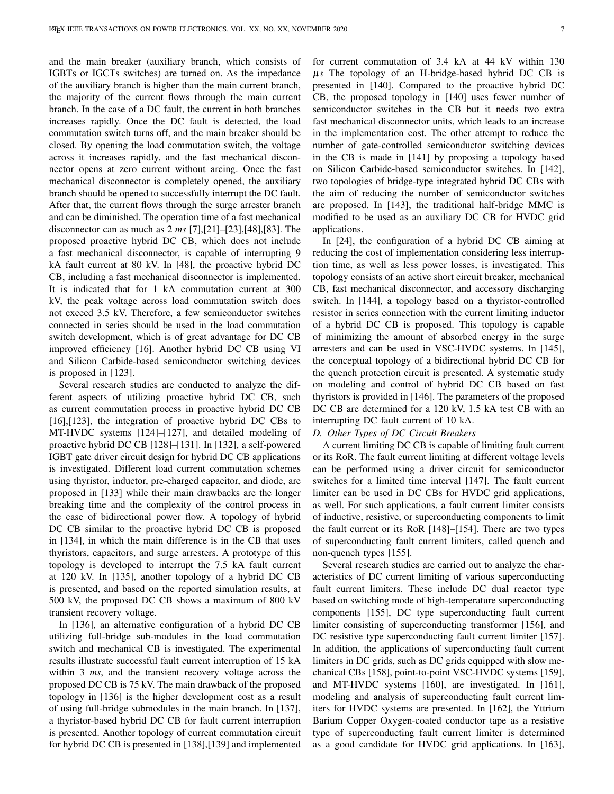and the main breaker (auxiliary branch, which consists of IGBTs or IGCTs switches) are turned on. As the impedance of the auxiliary branch is higher than the main current branch, the majority of the current flows through the main current branch. In the case of a DC fault, the current in both branches increases rapidly. Once the DC fault is detected, the load commutation switch turns off, and the main breaker should be closed. By opening the load commutation switch, the voltage across it increases rapidly, and the fast mechanical disconnector opens at zero current without arcing. Once the fast mechanical disconnector is completely opened, the auxiliary branch should be opened to successfully interrupt the DC fault. After that, the current flows through the surge arrester branch and can be diminished. The operation time of a fast mechanical disconnector can as much as 2 *ms* [\[7\]](#page-11-3),[\[21\]](#page-11-18)–[\[23\]](#page-11-19),[\[48\]](#page-12-20),[\[83\]](#page-12-55). The proposed proactive hybrid DC CB, which does not include a fast mechanical disconnector, is capable of interrupting 9 kA fault current at 80 kV. In [\[48\]](#page-12-20), the proactive hybrid DC CB, including a fast mechanical disconnector is implemented. It is indicated that for 1 kA commutation current at 300 kV, the peak voltage across load commutation switch does not exceed 3.5 kV. Therefore, a few semiconductor switches connected in series should be used in the load commutation switch development, which is of great advantage for DC CB improved efficiency [\[16\]](#page-11-12). Another hybrid DC CB using VI and Silicon Carbide-based semiconductor switching devices is proposed in [\[123\]](#page-13-39).

Several research studies are conducted to analyze the different aspects of utilizing proactive hybrid DC CB, such as current commutation process in proactive hybrid DC CB [\[16\]](#page-11-12),[\[123\]](#page-13-39), the integration of proactive hybrid DC CBs to MT-HVDC systems [\[124\]](#page-13-40)–[\[127\]](#page-13-41), and detailed modeling of proactive hybrid DC CB [\[128\]](#page-13-42)–[\[131\]](#page-13-43). In [\[132\]](#page-13-44), a self-powered IGBT gate driver circuit design for hybrid DC CB applications is investigated. Different load current commutation schemes using thyristor, inductor, pre-charged capacitor, and diode, are proposed in [\[133\]](#page-13-45) while their main drawbacks are the longer breaking time and the complexity of the control process in the case of bidirectional power flow. A topology of hybrid DC CB similar to the proactive hybrid DC CB is proposed in [\[134\]](#page-13-46), in which the main difference is in the CB that uses thyristors, capacitors, and surge arresters. A prototype of this topology is developed to interrupt the 7.5 kA fault current at 120 kV. In [\[135\]](#page-13-47), another topology of a hybrid DC CB is presented, and based on the reported simulation results, at 500 kV, the proposed DC CB shows a maximum of 800 kV transient recovery voltage.

In [\[136\]](#page-13-48), an alternative configuration of a hybrid DC CB utilizing full-bridge sub-modules in the load commutation switch and mechanical CB is investigated. The experimental results illustrate successful fault current interruption of 15 kA within 3 *ms*, and the transient recovery voltage across the proposed DC CB is 75 kV. The main drawback of the proposed topology in [\[136\]](#page-13-48) is the higher development cost as a result of using full-bridge submodules in the main branch. In [\[137\]](#page-13-49), a thyristor-based hybrid DC CB for fault current interruption is presented. Another topology of current commutation circuit for hybrid DC CB is presented in [\[138\]](#page-13-50),[\[139\]](#page-13-51) and implemented

for current commutation of 3.4 kA at 44 kV within 130 µ*s* The topology of an H-bridge-based hybrid DC CB is presented in [\[140\]](#page-14-0). Compared to the proactive hybrid DC CB, the proposed topology in [\[140\]](#page-14-0) uses fewer number of semiconductor switches in the CB but it needs two extra fast mechanical disconnector units, which leads to an increase in the implementation cost. The other attempt to reduce the number of gate-controlled semiconductor switching devices in the CB is made in [\[141\]](#page-14-1) by proposing a topology based on Silicon Carbide-based semiconductor switches. In [\[142\]](#page-14-2), two topologies of bridge-type integrated hybrid DC CBs with the aim of reducing the number of semiconductor switches are proposed. In [\[143\]](#page-14-3), the traditional half-bridge MMC is modified to be used as an auxiliary DC CB for HVDC grid applications.

In [\[24\]](#page-11-20), the configuration of a hybrid DC CB aiming at reducing the cost of implementation considering less interruption time, as well as less power losses, is investigated. This topology consists of an active short circuit breaker, mechanical CB, fast mechanical disconnector, and accessory discharging switch. In [\[144\]](#page-14-4), a topology based on a thyristor-controlled resistor in series connection with the current limiting inductor of a hybrid DC CB is proposed. This topology is capable of minimizing the amount of absorbed energy in the surge arresters and can be used in VSC-HVDC systems. In [\[145\]](#page-14-5), the conceptual topology of a bidirectional hybrid DC CB for the quench protection circuit is presented. A systematic study on modeling and control of hybrid DC CB based on fast thyristors is provided in [\[146\]](#page-14-6). The parameters of the proposed DC CB are determined for a 120 kV, 1.5 kA test CB with an interrupting DC fault current of 10 kA.

# *D. Other Types of DC Circuit Breakers*

A current limiting DC CB is capable of limiting fault current or its RoR. The fault current limiting at different voltage levels can be performed using a driver circuit for semiconductor switches for a limited time interval [\[147\]](#page-14-7). The fault current limiter can be used in DC CBs for HVDC grid applications, as well. For such applications, a fault current limiter consists of inductive, resistive, or superconducting components to limit the fault current or its RoR [\[148\]](#page-14-8)–[\[154\]](#page-14-9). There are two types of superconducting fault current limiters, called quench and non-quench types [\[155\]](#page-14-10).

Several research studies are carried out to analyze the characteristics of DC current limiting of various superconducting fault current limiters. These include DC dual reactor type based on switching mode of high-temperature superconducting components [\[155\]](#page-14-10), DC type superconducting fault current limiter consisting of superconducting transformer [\[156\]](#page-14-11), and DC resistive type superconducting fault current limiter [\[157\]](#page-14-12). In addition, the applications of superconducting fault current limiters in DC grids, such as DC grids equipped with slow mechanical CBs [\[158\]](#page-14-13), point-to-point VSC-HVDC systems [\[159\]](#page-14-14), and MT-HVDC systems [\[160\]](#page-14-15), are investigated. In [\[161\]](#page-14-16), modeling and analysis of superconducting fault current limiters for HVDC systems are presented. In [\[162\]](#page-14-17), the Yttrium Barium Copper Oxygen-coated conductor tape as a resistive type of superconducting fault current limiter is determined as a good candidate for HVDC grid applications. In [\[163\]](#page-14-18),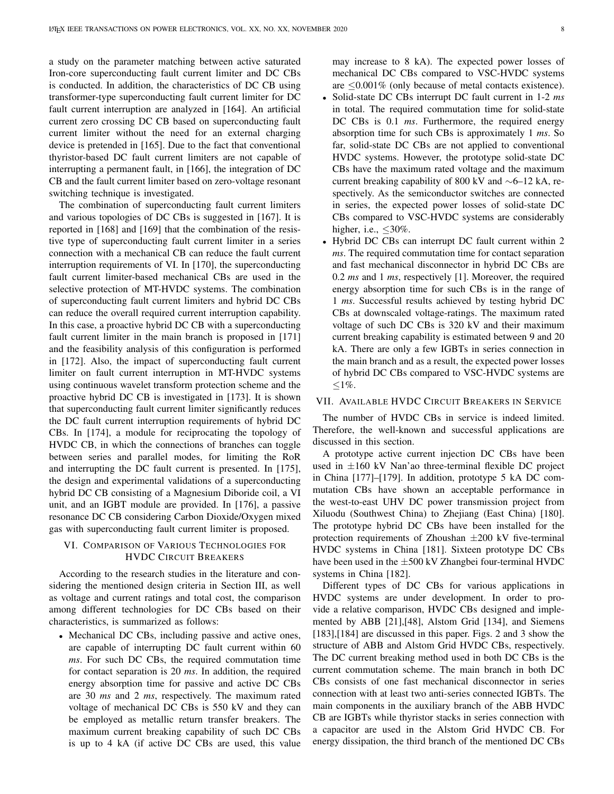a study on the parameter matching between active saturated Iron-core superconducting fault current limiter and DC CBs is conducted. In addition, the characteristics of DC CB using transformer-type superconducting fault current limiter for DC fault current interruption are analyzed in [\[164\]](#page-14-19). An artificial current zero crossing DC CB based on superconducting fault current limiter without the need for an external charging device is pretended in [\[165\]](#page-14-20). Due to the fact that conventional thyristor-based DC fault current limiters are not capable of interrupting a permanent fault, in [\[166\]](#page-14-21), the integration of DC CB and the fault current limiter based on zero-voltage resonant switching technique is investigated.

The combination of superconducting fault current limiters and various topologies of DC CBs is suggested in [\[167\]](#page-14-22). It is reported in [\[168\]](#page-14-23) and [\[169\]](#page-14-24) that the combination of the resistive type of superconducting fault current limiter in a series connection with a mechanical CB can reduce the fault current interruption requirements of VI. In [\[170\]](#page-14-25), the superconducting fault current limiter-based mechanical CBs are used in the selective protection of MT-HVDC systems. The combination of superconducting fault current limiters and hybrid DC CBs can reduce the overall required current interruption capability. In this case, a proactive hybrid DC CB with a superconducting fault current limiter in the main branch is proposed in [\[171\]](#page-14-26) and the feasibility analysis of this configuration is performed in [\[172\]](#page-14-27). Also, the impact of superconducting fault current limiter on fault current interruption in MT-HVDC systems using continuous wavelet transform protection scheme and the proactive hybrid DC CB is investigated in [\[173\]](#page-14-28). It is shown that superconducting fault current limiter significantly reduces the DC fault current interruption requirements of hybrid DC CBs. In [\[174\]](#page-14-29), a module for reciprocating the topology of HVDC CB, in which the connections of branches can toggle between series and parallel modes, for limiting the RoR and interrupting the DC fault current is presented. In [\[175\]](#page-14-30), the design and experimental validations of a superconducting hybrid DC CB consisting of a Magnesium Diboride coil, a VI unit, and an IGBT module are provided. In [\[176\]](#page-14-31), a passive resonance DC CB considering Carbon Dioxide/Oxygen mixed gas with superconducting fault current limiter is proposed.

# <span id="page-9-0"></span>VI. COMPARISON OF VARIOUS TECHNOLOGIES FOR HVDC CIRCUIT BREAKERS

According to the research studies in the literature and considering the mentioned design criteria in Section [III,](#page-3-1) as well as voltage and current ratings and total cost, the comparison among different technologies for DC CBs based on their characteristics, is summarized as follows:

• Mechanical DC CBs, including passive and active ones, are capable of interrupting DC fault current within 60 *ms*. For such DC CBs, the required commutation time for contact separation is 20 *ms*. In addition, the required energy absorption time for passive and active DC CBs are 30 *ms* and 2 *ms*, respectively. The maximum rated voltage of mechanical DC CBs is 550 kV and they can be employed as metallic return transfer breakers. The maximum current breaking capability of such DC CBs is up to 4 kA (if active DC CBs are used, this value may increase to 8 kA). The expected power losses of mechanical DC CBs compared to VSC-HVDC systems are  $\leq 0.001\%$  (only because of metal contacts existence).

- Solid-state DC CBs interrupt DC fault current in 1-2 *ms* in total. The required commutation time for solid-state DC CBs is 0.1 *ms*. Furthermore, the required energy absorption time for such CBs is approximately 1 *ms*. So far, solid-state DC CBs are not applied to conventional HVDC systems. However, the prototype solid-state DC CBs have the maximum rated voltage and the maximum current breaking capability of 800 kV and ∼6–12 kA, respectively. As the semiconductor switches are connected in series, the expected power losses of solid-state DC CBs compared to VSC-HVDC systems are considerably higher, i.e.,  $\leq 30\%$ .
- Hybrid DC CBs can interrupt DC fault current within 2 *ms*. The required commutation time for contact separation and fast mechanical disconnector in hybrid DC CBs are 0.2 *ms* and 1 *ms*, respectively [\[1\]](#page-11-0). Moreover, the required energy absorption time for such CBs is in the range of 1 *ms*. Successful results achieved by testing hybrid DC CBs at downscaled voltage-ratings. The maximum rated voltage of such DC CBs is 320 kV and their maximum current breaking capability is estimated between 9 and 20 kA. There are only a few IGBTs in series connection in the main branch and as a result, the expected power losses of hybrid DC CBs compared to VSC-HVDC systems are  $\leq$ 1%.

#### <span id="page-9-1"></span>VII. AVAILABLE HVDC CIRCUIT BREAKERS IN SERVICE

The number of HVDC CBs in service is indeed limited. Therefore, the well-known and successful applications are discussed in this section.

A prototype active current injection DC CBs have been used in  $\pm 160$  kV Nan'ao three-terminal flexible DC project in China [\[177\]](#page-14-32)–[\[179\]](#page-14-33). In addition, prototype 5 kA DC commutation CBs have shown an acceptable performance in the west-to-east UHV DC power transmission project from Xiluodu (Southwest China) to Zhejiang (East China) [\[180\]](#page-14-34). The prototype hybrid DC CBs have been installed for the protection requirements of Zhoushan  $\pm 200$  kV five-terminal HVDC systems in China [\[181\]](#page-14-35). Sixteen prototype DC CBs have been used in the  $\pm 500$  kV Zhangbei four-terminal HVDC systems in China [\[182\]](#page-14-36).

Different types of DC CBs for various applications in HVDC systems are under development. In order to provide a relative comparison, HVDC CBs designed and implemented by ABB [\[21\]](#page-11-18),[\[48\]](#page-12-20), Alstom Grid [\[134\]](#page-13-46), and Siemens [\[183\]](#page-14-37),[\[184\]](#page-14-38) are discussed in this paper. Figs. [2](#page-10-1) and [3](#page-10-2) show the structure of ABB and Alstom Grid HVDC CBs, respectively. The DC current breaking method used in both DC CBs is the current commutation scheme. The main branch in both DC CBs consists of one fast mechanical disconnector in series connection with at least two anti-series connected IGBTs. The main components in the auxiliary branch of the ABB HVDC CB are IGBTs while thyristor stacks in series connection with a capacitor are used in the Alstom Grid HVDC CB. For energy dissipation, the third branch of the mentioned DC CBs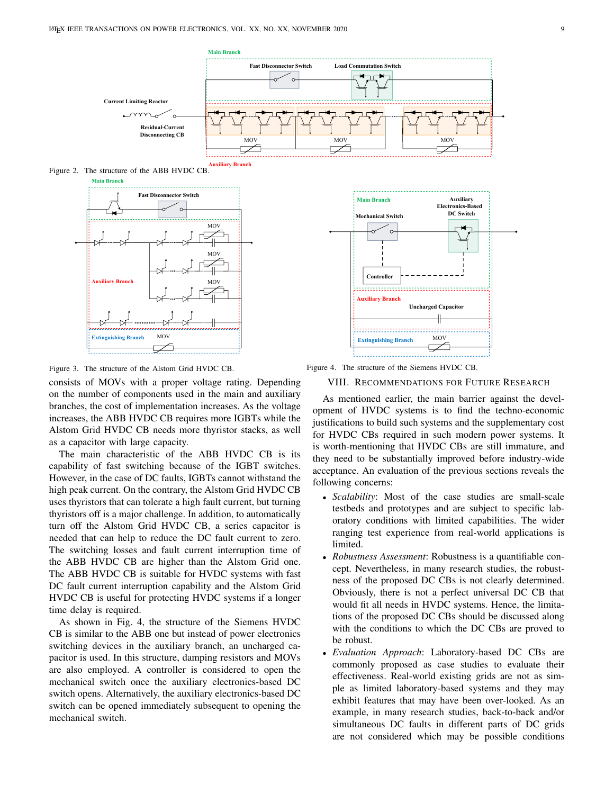<span id="page-10-1"></span>

<span id="page-10-2"></span>Figure 2. The structure of the ABB HVDC CB.



Figure 3. The structure of the Alstom Grid HVDC CB.

consists of MOVs with a proper voltage rating. Depending on the number of components used in the main and auxiliary branches, the cost of implementation increases. As the voltage increases, the ABB HVDC CB requires more IGBTs while the Alstom Grid HVDC CB needs more thyristor stacks, as well as a capacitor with large capacity.

The main characteristic of the ABB HVDC CB is its capability of fast switching because of the IGBT switches. However, in the case of DC faults, IGBTs cannot withstand the high peak current. On the contrary, the Alstom Grid HVDC CB uses thyristors that can tolerate a high fault current, but turning thyristors off is a major challenge. In addition, to automatically turn off the Alstom Grid HVDC CB, a series capacitor is needed that can help to reduce the DC fault current to zero. The switching losses and fault current interruption time of the ABB HVDC CB are higher than the Alstom Grid one. The ABB HVDC CB is suitable for HVDC systems with fast DC fault current interruption capability and the Alstom Grid HVDC CB is useful for protecting HVDC systems if a longer time delay is required.

As shown in Fig. [4,](#page-10-3) the structure of the Siemens HVDC CB is similar to the ABB one but instead of power electronics switching devices in the auxiliary branch, an uncharged capacitor is used. In this structure, damping resistors and MOVs are also employed. A controller is considered to open the mechanical switch once the auxiliary electronics-based DC switch opens. Alternatively, the auxiliary electronics-based DC switch can be opened immediately subsequent to opening the mechanical switch.



<span id="page-10-0"></span>Figure 4. The structure of the Siemens HVDC CB.

<span id="page-10-3"></span>VIII. RECOMMENDATIONS FOR FUTURE RESEARCH

As mentioned earlier, the main barrier against the development of HVDC systems is to find the techno-economic justifications to build such systems and the supplementary cost for HVDC CBs required in such modern power systems. It is worth-mentioning that HVDC CBs are still immature, and they need to be substantially improved before industry-wide acceptance. An evaluation of the previous sections reveals the following concerns:

- *Scalability*: Most of the case studies are small-scale testbeds and prototypes and are subject to specific laboratory conditions with limited capabilities. The wider ranging test experience from real-world applications is limited.
- *Robustness Assessment*: Robustness is a quantifiable concept. Nevertheless, in many research studies, the robustness of the proposed DC CBs is not clearly determined. Obviously, there is not a perfect universal DC CB that would fit all needs in HVDC systems. Hence, the limitations of the proposed DC CBs should be discussed along with the conditions to which the DC CBs are proved to be robust.
- *Evaluation Approach*: Laboratory-based DC CBs are commonly proposed as case studies to evaluate their effectiveness. Real-world existing grids are not as simple as limited laboratory-based systems and they may exhibit features that may have been over-looked. As an example, in many research studies, back-to-back and/or simultaneous DC faults in different parts of DC grids are not considered which may be possible conditions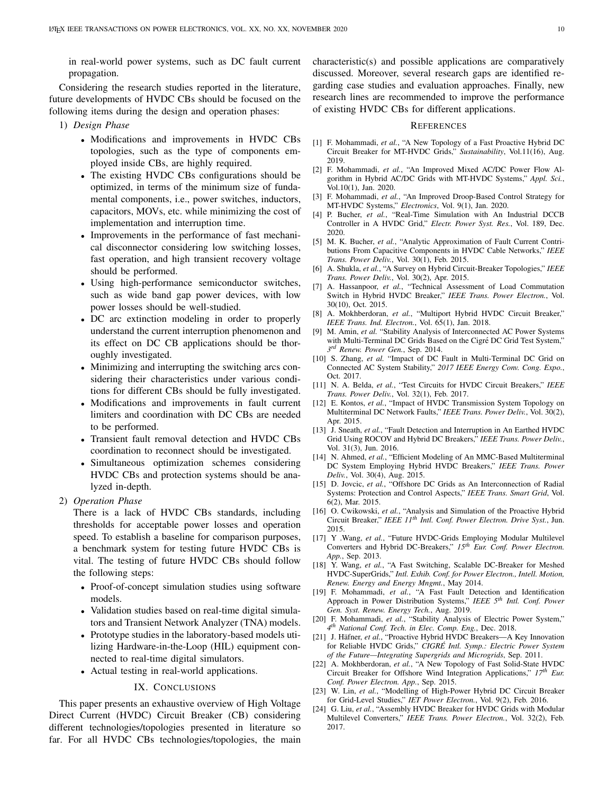in real-world power systems, such as DC fault current propagation.

Considering the research studies reported in the literature, future developments of HVDC CBs should be focused on the following items during the design and operation phases:

- 1) *Design Phase*
	- Modifications and improvements in HVDC CBs topologies, such as the type of components employed inside CBs, are highly required.
	- The existing HVDC CBs configurations should be optimized, in terms of the minimum size of fundamental components, i.e., power switches, inductors, capacitors, MOVs, etc. while minimizing the cost of implementation and interruption time.
	- Improvements in the performance of fast mechanical disconnector considering low switching losses, fast operation, and high transient recovery voltage should be performed.
	- Using high-performance semiconductor switches, such as wide band gap power devices, with low power losses should be well-studied.
	- DC arc extinction modeling in order to properly understand the current interruption phenomenon and its effect on DC CB applications should be thoroughly investigated.
	- Minimizing and interrupting the switching arcs considering their characteristics under various conditions for different CBs should be fully investigated.
	- Modifications and improvements in fault current limiters and coordination with DC CBs are needed to be performed.
	- Transient fault removal detection and HVDC CBs coordination to reconnect should be investigated.
	- Simultaneous optimization schemes considering HVDC CBs and protection systems should be analyzed in-depth.
- 2) *Operation Phase*

There is a lack of HVDC CBs standards, including thresholds for acceptable power losses and operation speed. To establish a baseline for comparison purposes, a benchmark system for testing future HVDC CBs is vital. The testing of future HVDC CBs should follow the following steps:

- Proof-of-concept simulation studies using software models.
- Validation studies based on real-time digital simulators and Transient Network Analyzer (TNA) models.
- Prototype studies in the laboratory-based models utilizing Hardware-in-the-Loop (HIL) equipment connected to real-time digital simulators.
- Actual testing in real-world applications.

#### IX. CONCLUSIONS

<span id="page-11-15"></span>This paper presents an exhaustive overview of High Voltage Direct Current (HVDC) Circuit Breaker (CB) considering different technologies/topologies presented in literature so far. For all HVDC CBs technologies/topologies, the main

characteristic(s) and possible applications are comparatively discussed. Moreover, several research gaps are identified regarding case studies and evaluation approaches. Finally, new research lines are recommended to improve the performance of existing HVDC CBs for different applications.

#### **REFERENCES**

- <span id="page-11-0"></span>[1] F. Mohammadi, *et al.*, "A New Topology of a Fast Proactive Hybrid DC Circuit Breaker for MT-HVDC Grids," *Sustainability*, Vol.11(16), Aug. 2019.
- [2] F. Mohammadi, *et al.*, "An Improved Mixed AC/DC Power Flow Algorithm in Hybrid AC/DC Grids with MT-HVDC Systems," *Appl. Sci.*, Vol.10(1), Jan. 2020.
- <span id="page-11-1"></span>[3] F. Mohammadi, *et al.*, "An Improved Droop-Based Control Strategy for MT-HVDC Systems," *Electronics*, Vol. 9(1), Jan. 2020.
- <span id="page-11-2"></span>[4] P. Bucher, *et al.*, "Real-Time Simulation with An Industrial DCCB Controller in A HVDC Grid," *Electr. Power Syst. Res.*, Vol. 189, Dec. 2020.
- [5] M. K. Bucher, *et al.*, "Analytic Approximation of Fault Current Contributions From Capacitive Components in HVDC Cable Networks," *IEEE Trans. Power Deliv.*, Vol. 30(1), Feb. 2015.
- [6] A. Shukla, *et al.*, "A Survey on Hybrid Circuit-Breaker Topologies," *IEEE Trans. Power Deliv.*, Vol. 30(2), Apr. 2015.
- <span id="page-11-3"></span>[7] A. Hassanpoor, *et al.*, "Technical Assessment of Load Commutation Switch in Hybrid HVDC Breaker," *IEEE Trans. Power Electron.*, Vol. 30(10), Oct. 2015.
- <span id="page-11-4"></span>[8] A. Mokhberdoran, et al., "Multiport Hybrid HVDC Circuit Breaker," *IEEE Trans. Ind. Electron.*, Vol. 65(1), Jan. 2018.
- <span id="page-11-5"></span>[9] M. Amin, *et al.* "Stability Analysis of Interconnected AC Power Systems with Multi-Terminal DC Grids Based on the Cigré DC Grid Test System," *3 rd Renew. Power Gen.*, Sep. 2014.
- <span id="page-11-6"></span>[10] S. Zhang, *et al.* "Impact of DC Fault in Multi-Terminal DC Grid on Connected AC System Stability," *2017 IEEE Energy Conv. Cong. Expo.*, Oct. 2017.
- <span id="page-11-7"></span>[11] N. A. Belda, *et al.*, "Test Circuits for HVDC Circuit Breakers," *IEEE Trans. Power Deliv.*, Vol. 32(1), Feb. 2017.
- <span id="page-11-8"></span>[12] E. Kontos, *et al.*, "Impact of HVDC Transmission System Topology on Multiterminal DC Network Faults," *IEEE Trans. Power Deliv.*, Vol. 30(2), Apr. 2015.
- <span id="page-11-9"></span>[13] J. Sneath, *et al.*, "Fault Detection and Interruption in An Earthed HVDC Grid Using ROCOV and Hybrid DC Breakers," *IEEE Trans. Power Deliv.*, Vol. 31(3), Jun. 2016.
- <span id="page-11-10"></span>[14] N. Ahmed, *et al.*, "Efficient Modeling of An MMC-Based Multiterminal DC System Employing Hybrid HVDC Breakers," *IEEE Trans. Power Deliv.*, Vol. 30(4), Aug. 2015.
- <span id="page-11-11"></span>[15] D. Jovcic, et al., "Offshore DC Grids as An Interconnection of Radial Systems: Protection and Control Aspects," *IEEE Trans. Smart Grid*, Vol. 6(2), Mar. 2015.
- <span id="page-11-12"></span>[16] O. Cwikowski, *et al.*, "Analysis and Simulation of the Proactive Hybrid Circuit Breaker," *IEEE 11th Intl. Conf. Power Electron. Drive Syst.*, Jun. 2015.
- <span id="page-11-13"></span>[17] Y .Wang, *et al.*, "Future HVDC-Grids Employing Modular Multilevel Converters and Hybrid DC-Breakers," *15th Eur. Conf. Power Electron. App.*, Sep. 2013.
- <span id="page-11-14"></span>[18] Y. Wang, *et al.*, "A Fast Switching, Scalable DC-Breaker for Meshed HVDC-SuperGrids," *Intl. Exhib. Conf. for Power Electron., Intell. Motion, Renew. Energy and Energy Mngmt.*, May 2014.
- <span id="page-11-16"></span>[19] F. Mohammadi, *et al.*, "A Fast Fault Detection and Identification Approach in Power Distribution Systems," *IEEE 5th Intl. Conf. Power Gen. Syst. Renew. Energy Tech.*, Aug. 2019.
- <span id="page-11-17"></span>[20] F. Mohammadi, et al., "Stability Analysis of Electric Power System," *4 th National Conf. Tech. in Elec. Comp. Eng.*, Dec. 2018.
- <span id="page-11-18"></span>[21] J. Häfner, et al., "Proactive Hybrid HVDC Breakers-A Key Innovation for Reliable HVDC Grids," *CIGRE Intl. Symp.: Electric Power System ´ of the Future—Integrating Supergrids and Microgrids*, Sep. 2011.
- <span id="page-11-21"></span>[22] A. Mokhberdoran, *et al.*, "A New Topology of Fast Solid-State HVDC Circuit Breaker for Offshore Wind Integration Applications," *17th Eur. Conf. Power Electron. App.*, Sep. 2015.
- <span id="page-11-19"></span>[23] W. Lin, et al., "Modelling of High-Power Hybrid DC Circuit Breaker for Grid-Level Studies," *IET Power Electron.*, Vol. 9(2), Feb. 2016.
- <span id="page-11-20"></span>[24] G. Liu, et al., "Assembly HVDC Breaker for HVDC Grids with Modular Multilevel Converters," *IEEE Trans. Power Electron.*, Vol. 32(2), Feb. 2017.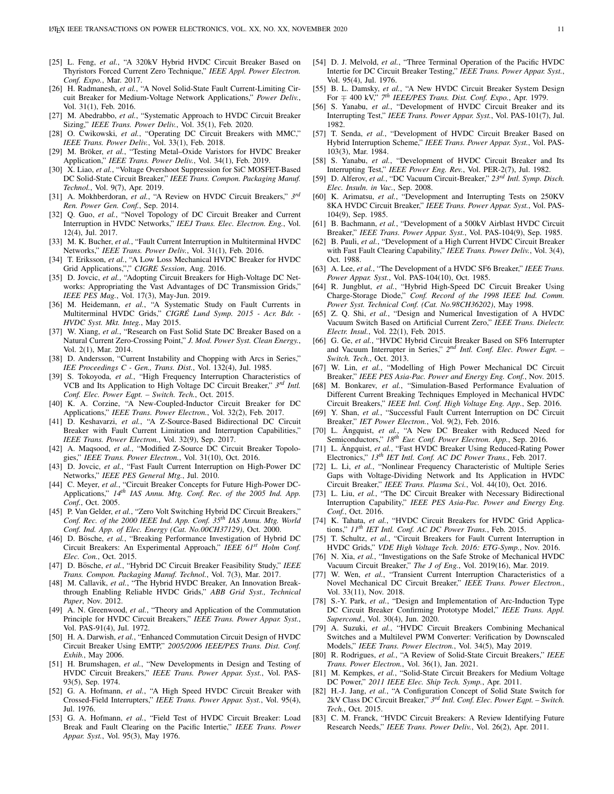- <span id="page-12-0"></span>[25] L. Feng, et al., "A 320kV Hybrid HVDC Circuit Breaker Based on Thyristors Forced Current Zero Technique," *IEEE Appl. Power Electron. Conf. Expo.*, Mar. 2017.
- <span id="page-12-1"></span>[26] H. Radmanesh, *et al.*, "A Novel Solid-State Fault Current-Limiting Circuit Breaker for Medium-Voltage Network Applications," *Power Deliv.*, Vol. 31(1), Feb. 2016.
- <span id="page-12-2"></span>[27] M. Abedrabbo, *et al.*, "Systematic Approach to HVDC Circuit Breaker Sizing," *IEEE Trans. Power Deliv.*, Vol. 35(1), Feb. 2020.
- <span id="page-12-3"></span>[28] O. Cwikowski, et al., "Operating DC Circuit Breakers with MMC," *IEEE Trans. Power Deliv.*, Vol. 33(1), Feb. 2018.
- <span id="page-12-4"></span>[29] M. Bröker, et al., "Testing Metal-Oxide Varistors for HVDC Breaker Application," *IEEE Trans. Power Deliv.*, Vol. 34(1), Feb. 2019.
- <span id="page-12-5"></span>[30] X. Liao, *et al.*, "Voltage Overshoot Suppression for SiC MOSFET-Based DC Solid-State Circuit Breaker," *IEEE Trans. Compon. Packaging Manuf. Technol.*, Vol. 9(7), Apr. 2019.
- <span id="page-12-6"></span>[31] A. Mokhberdoran, et al., "A Review on HVDC Circuit Breakers,"  $3^{rd}$ *Ren. Power Gen. Conf.*, Sep. 2014.
- <span id="page-12-7"></span>[32] Q. Guo, et al., "Novel Topology of DC Circuit Breaker and Current Interruption in HVDC Networks," *IEEJ Trans. Elec. Electron. Eng.*, Vol. 12(4), Jul. 2017.
- <span id="page-12-8"></span>[33] M. K. Bucher, et al., "Fault Current Interruption in Multiterminal HVDC Networks," *IEEE Trans. Power Deliv.*, Vol. 31(1), Feb. 2016.
- <span id="page-12-9"></span>[34] T. Eriksson, *et al.*, "A Low Loss Mechanical HVDC Breaker for HVDC Grid Applications,"," *CIGRE Session*, Aug. 2016.
- <span id="page-12-10"></span>[35] D. Jovcic, et al., "Adopting Circuit Breakers for High-Voltage DC Networks: Appropriating the Vast Advantages of DC Transmission Grids," *IEEE PES Mag.*, Vol. 17(3), May-Jun. 2019.
- <span id="page-12-11"></span>[36] M. Heidemann, et al., "A Systematic Study on Fault Currents in Multiterminal HVDC Grids," *CIGRE Lund Symp. 2015 - Acr. Bdr. - ´ HVDC Syst. Mkt. Integ.*, May 2015.
- <span id="page-12-12"></span>[37] W. Xiang, *et al.*, "Research on Fast Solid State DC Breaker Based on a Natural Current Zero-Crossing Point," *J. Mod. Power Syst. Clean Energy.*, Vol. 2(1), Mar. 2014.
- <span id="page-12-13"></span>[38] D. Andersson, "Current Instability and Chopping with Arcs in Series," *IEE Proceedings C - Gen., Trans. Dist.*, Vol. 132(4), Jul. 1985.
- <span id="page-12-14"></span>[39] S. Tokoyoda, *et al.*, "High Frequency Interruption Characteristics of VCB and Its Application to High Voltage DC Circuit Breaker," *3 rd Intl. Conf. Elec. Power Eqpt. – Switch. Tech.*, Oct. 2015.
- <span id="page-12-15"></span>[40] K. A. Corzine, "A New-Coupled-Inductor Circuit Breaker for DC Applications," *IEEE Trans. Power Electron.*, Vol. 32(2), Feb. 2017.
- <span id="page-12-56"></span>[41] D. Keshavarzi, *et al.*, "A Z-Source-Based Bidirectional DC Circuit Breaker with Fault Current Limitation and Interruption Capabilities," *IEEE Trans. Power Electron.*, Vol. 32(9), Sep. 2017.
- <span id="page-12-16"></span>[42] A. Maqsood, *et al.*, "Modified Z-Source DC Circuit Breaker Topologies," *IEEE Trans. Power Electron.*, Vol. 31(10), Oct. 2016.
- <span id="page-12-17"></span>[43] D. Jovcic, *et al.*, "Fast Fault Current Interruption on High-Power DC Networks," *IEEE PES General Mtg.*, Jul. 2010.
- <span id="page-12-18"></span>[44] C. Meyer, *et al.*, "Circuit Breaker Concepts for Future High-Power DC-Applications," *14th IAS Annu. Mtg. Conf. Rec. of the 2005 Ind. App. Conf.*, Oct. 2005.
- <span id="page-12-19"></span>[45] P. Van Gelder, et al., "Zero Volt Switching Hybrid DC Circuit Breakers," *Conf. Rec. of the 2000 IEEE Ind. App. Conf. 35th IAS Annu. Mtg. World Conf. Ind. App. of Elec. Energy (Cat. No.00CH37129)*, Oct. 2000.
- [46] D. Bösche, et al., "Breaking Performance Investigation of Hybrid DC Circuit Breakers: An Experimental Approach," *IEEE 61st Holm Conf. Elec. Con.*, Oct. 2015.
- <span id="page-12-57"></span>[47] D. Bösche, et al., "Hybrid DC Circuit Breaker Feasibility Study," IEEE *Trans. Compon. Packaging Manuf. Technol.*, Vol. 7(3), Mar. 2017.
- <span id="page-12-20"></span>[48] M. Callavik, et al., "The Hybrid HVDC Breaker, An Innovation Breakthrough Enabling Reliable HVDC Grids," *ABB Grid Syst., Technical Paper*, Nov. 2012.
- <span id="page-12-21"></span>[49] A. N. Greenwood, et al., "Theory and Application of the Commutation Principle for HVDC Circuit Breakers," *IEEE Trans. Power Appar. Syst.*, Vol. PAS-91(4), Jul. 1972.
- <span id="page-12-22"></span>[50] H. A. Darwish, *et al.*, "Enhanced Commutation Circuit Design of HVDC Circuit Breaker Using EMTP," *2005/2006 IEEE/PES Trans. Dist. Conf. Exhib.*, May 2006.
- <span id="page-12-23"></span>[51] H. Brumshagen, *et al.*, "New Developments in Design and Testing of HVDC Circuit Breakers," *IEEE Trans. Power Appar. Syst.*, Vol. PAS-93(5), Sep. 1974.
- <span id="page-12-24"></span>[52] G. A. Hofmann, et al., "A High Speed HVDC Circuit Breaker with Crossed-Field Interrupters," *IEEE Trans. Power Appar. Syst.*, Vol. 95(4), Jul. 1976.
- <span id="page-12-25"></span>[53] G. A. Hofmann, *et al.*, "Field Test of HVDC Circuit Breaker: Load Break and Fault Clearing on the Pacific Intertie," *IEEE Trans. Power Appar. Syst.*, Vol. 95(3), May 1976.
- <span id="page-12-26"></span>[54] D. J. Melvold, *et al.*, "Three Terminal Operation of the Pacific HVDC Intertie for DC Circuit Breaker Testing," *IEEE Trans. Power Appar. Syst.*, Vol. 95(4), Jul. 1976.
- <span id="page-12-27"></span>[55] B. L. Damsky, et al., "A New HVDC Circuit Breaker System Design For ∓ 400 kV," *7 th IEEE/PES Trans. Dist. Conf. Expo.*, Apr. 1979.
- <span id="page-12-28"></span>[56] S. Yanabu, *et al.*, "Development of HVDC Circuit Breaker and its Interrupting Test," *IEEE Trans. Power Appar. Syst.*, Vol. PAS-101(7), Jul. 1982.
- <span id="page-12-29"></span>[57] T. Senda, *et al.*, "Development of HVDC Circuit Breaker Based on Hybrid Interruption Scheme," *IEEE Trans. Power Appar. Syst.*, Vol. PAS-103(3), Mar. 1984.
- <span id="page-12-30"></span>[58] S. Yanabu, et al., "Development of HVDC Circuit Breaker and Its Interrupting Test," *IEEE Power Eng. Rev.*, Vol. PER-2(7), Jul. 1982.
- <span id="page-12-31"></span>[59] D. Alferov, *et al.*, "DC Vacuum Circuit-Breaker," *23rd Intl. Symp. Disch. Elec. Insuln. in Vac.*, Sep. 2008.
- <span id="page-12-32"></span>[60] K. Arimatsu, *et al.*, "Development and Interrupting Tests on 250KV 8KA HVDC Circuit Breaker," *IEEE Trans. Power Appar. Syst.*, Vol. PAS-104(9), Sep. 1985.
- <span id="page-12-33"></span>[61] B. Bachmann, et al., "Development of a 500kV Airblast HVDC Circuit Breaker," *IEEE Trans. Power Appar. Syst.*, Vol. PAS-104(9), Sep. 1985.
- <span id="page-12-34"></span>[62] B. Pauli, *et al.*, "Development of a High Current HVDC Circuit Breaker with Fast Fault Clearing Capability," *IEEE Trans. Power Deliv.*, Vol. 3(4), Oct. 1988.
- <span id="page-12-35"></span>[63] A. Lee, et al., "The Development of a HVDC SF6 Breaker," IEEE Trans. *Power Appar. Syst.*, Vol. PAS-104(10), Oct. 1985.
- <span id="page-12-36"></span>[64] R. Jungblut, *et al.*, "Hybrid High-Speed DC Circuit Breaker Using Charge-Storage Diode," *Conf. Record of the 1998 IEEE Ind. Comm. Power Syst. Technical Conf. (Cat. No.98CH36202)*, May 1998.
- <span id="page-12-37"></span>[65] Z. Q. Shi, *et al.*, "Design and Numerical Investigation of A HVDC Vacuum Switch Based on Artificial Current Zero," *IEEE Trans. Dielectr. Electr. Insul.*, Vol. 22(1), Feb. 2015.
- <span id="page-12-38"></span>[66] G. Ge, *et al.*, "HVDC Hybrid Circuit Breaker Based on SF6 Interrupter and Vacuum Interrupter in Series," 2<sup>nd</sup> Intl. Conf. Elec. Power Eqpt. -*Switch. Tech.*, Oct. 2013.
- <span id="page-12-39"></span>[67] W. Lin, *et al.*, "Modelling of High Power Mechanical DC Circuit Breaker," *IEEE PES Asia-Pac. Power and Energy Eng. Conf.*, Nov. 2015.
- <span id="page-12-40"></span>[68] M. Bonkarev, *et al.*, "Simulation-Based Performance Evaluation of Different Current Breaking Techniques Employed in Mechanical HVDC Circuit Breakers," *IEEE Intl. Conf. High Voltage Eng. App.*, Sep. 2016.
- <span id="page-12-41"></span>[69] Y. Shan, *et al.*, "Successful Fault Current Interruption on DC Circuit Breaker," *IET Power Electron.*, Vol. 9(2), Feb. 2016.
- <span id="page-12-42"></span>[70] L. Ängquist, et al., "A New DC Breaker with Reduced Need for Semiconductors," *18th Eur. Conf. Power Electron. App.*, Sep. 2016.
- <span id="page-12-43"></span>[71] L. Ängquist, et al., "Fast HVDC Breaker Using Reduced-Rating Power Electronics," *13th IET Intl. Conf. AC DC Power Trans.*, Feb. 2017.
- <span id="page-12-44"></span>[72] L. Li, *et al.*, "Nonlinear Frequency Characteristic of Multiple Series Gaps with Voltage-Dividing Network and Its Application in HVDC Circuit Breaker," *IEEE Trans. Plasma Sci.*, Vol. 44(10), Oct. 2016.
- <span id="page-12-45"></span>[73] L. Liu, et al., "The DC Circuit Breaker with Necessary Bidirectional Interruption Capability," *IEEE PES Asia-Pac. Power and Energy Eng. Conf.*, Oct. 2016.
- <span id="page-12-46"></span>[74] K. Tahata, *et al.*, "HVDC Circuit Breakers for HVDC Grid Applications," *11th IET Intl. Conf. AC DC Power Trans.*, Feb. 2015.
- <span id="page-12-47"></span>[75] T. Schultz, *et al.*, "Circuit Breakers for Fault Current Interruption in HVDC Grids," *VDE High Voltage Tech. 2016: ETG-Symp.*, Nov. 2016.
- <span id="page-12-48"></span>[76] N. Xia, *et al.*, "Investigations on the Safe Stroke of Mechanical HVDC Vacuum Circuit Breaker," *The J of Eng.*, Vol. 2019(16), Mar. 2019.
- <span id="page-12-49"></span>[77] W. Wen, *et al.*, "Transient Current Interruption Characteristics of a Novel Mechanical DC Circuit Breaker," *IEEE Trans. Power Electron.*, Vol. 33(11), Nov. 2018.
- <span id="page-12-50"></span>[78] S.-Y. Park, *et al.*, "Design and Implementation of Arc-Induction Type DC Circuit Breaker Confirming Prototype Model," *IEEE Trans. Appl. Supercond.*, Vol. 30(4), Jun. 2020.
- <span id="page-12-51"></span>[79] A. Suzuki, *et al.*, "HVDC Circuit Breakers Combining Mechanical Switches and a Multilevel PWM Converter: Verification by Downscaled Models," *IEEE Trans. Power Electron.*, Vol. 34(5), May 2019.
- <span id="page-12-52"></span>[80] R. Rodrigues, *et al.*, "A Review of Solid-State Circuit Breakers," *IEEE Trans. Power Electron.*, Vol. 36(1), Jan. 2021.
- <span id="page-12-53"></span>[81] M. Kempkes, *et al.*, "Solid-State Circuit Breakers for Medium Voltage DC Power," *2011 IEEE Elec. Ship Tech. Symp.*, Apr. 2011.
- <span id="page-12-54"></span>[82] H.-J. Jang, *et al.*, "A Configuration Concept of Solid State Switch for 2kV Class DC Circuit Breaker," *3 rd Intl. Conf. Elec. Power Eqpt. – Switch. Tech.*, Oct. 2015.
- <span id="page-12-55"></span>[83] C. M. Franck, "HVDC Circuit Breakers: A Review Identifying Future Research Needs," *IEEE Trans. Power Deliv.*, Vol. 26(2), Apr. 2011.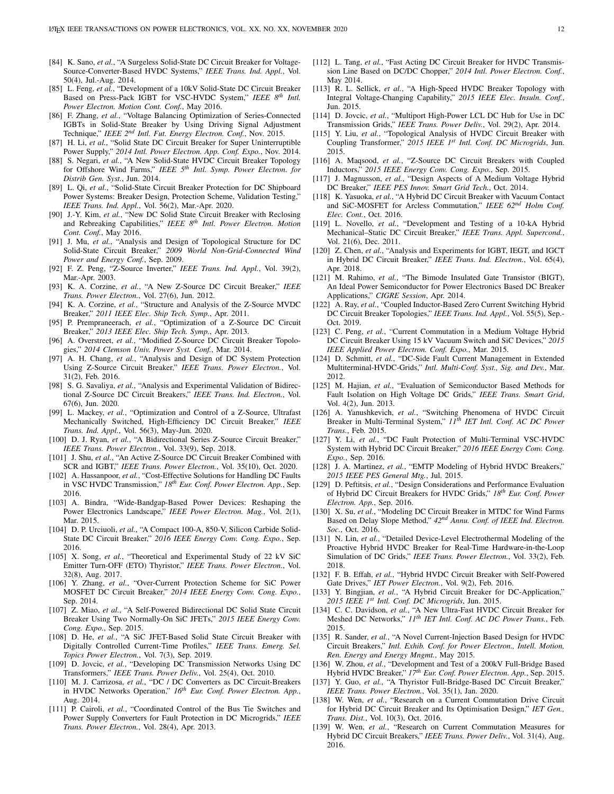- <span id="page-13-0"></span>[84] K. Sano, et al., "A Surgeless Solid-State DC Circuit Breaker for Voltage-Source-Converter-Based HVDC Systems," *IEEE Trans. Ind. Appl.*, Vol. 50(4), Jul.-Aug. 2014.
- <span id="page-13-1"></span>[85] L. Feng, et al., "Development of a 10kV Solid-State DC Circuit Breaker Based on Press-Pack IGBT for VSC-HVDC System," *IEEE 8th Intl. Power Electron. Motion Cont. Conf.*, May 2016.
- <span id="page-13-2"></span>[86] F. Zhang, *et al.*, "Voltage Balancing Optimization of Series-Connected IGBTs in Solid-State Breaker by Using Driving Signal Adjustment Technique," *IEEE 2nd Intl. Fut. Energy Electron. Conf.*, Nov. 2015.
- <span id="page-13-3"></span>[87] H. Li, *et al.*, "Solid State DC Circuit Breaker for Super Uninterruptible Power Supply," *2014 Intl. Power Electron. App. Conf. Expo.*, Nov. 2014.
- <span id="page-13-4"></span>[88] S. Negari, *et al.*, "A New Solid-State HVDC Circuit Breaker Topology for Offshore Wind Farms," *IEEE 5th Intl. Symp. Power Electron. for Distrib Gen. Syst.*, Jun. 2014.
- <span id="page-13-5"></span>[89] L. Qi, *et al.*, "Solid-State Circuit Breaker Protection for DC Shipboard Power Systems: Breaker Design, Protection Scheme, Validation Testing," *IEEE Trans. Ind. Appl.*, Vol. 56(2), Mar.-Apr. 2020.
- <span id="page-13-6"></span>[90] J.-Y. Kim, *et al.*, "New DC Solid State Circuit Breaker with Reclosing and Rebreaking Capabilities," *IEEE 8th Intl. Power Electron. Motion Cont. Conf.*, May 2016.
- <span id="page-13-7"></span>[91] J. Mu, *et al.*, "Analysis and Design of Topological Structure for DC Solid-State Circuit Breaker," *2009 World Non-Grid-Connected Wind Power and Energy Conf.*, Sep. 2009.
- <span id="page-13-8"></span>[92] F. Z. Peng, "Z-Source Inverter," *IEEE Trans. Ind. Appl.*, Vol. 39(2), Mar.-Apr. 2003.
- <span id="page-13-9"></span>[93] K. A. Corzine, *et al.*, "A New Z-Source DC Circuit Breaker," *IEEE Trans. Power Electron.*, Vol. 27(6), Jun. 2012.
- <span id="page-13-10"></span>[94] K. A. Corzine, *et al.*, "Structure and Analysis of the Z-Source MVDC Breaker," *2011 IEEE Elec. Ship Tech. Symp.*, Apr. 2011.
- <span id="page-13-11"></span>[95] P. Prempraneerach, *et al.*, "Optimization of a Z-Source DC Circuit Breaker," *2013 IEEE Elec. Ship Tech. Symp.*, Apr. 2013.
- <span id="page-13-12"></span>[96] A. Overstreet, et al., "Modified Z-Source DC Circuit Breaker Topologies," *2014 Clemson Univ. Power Syst. Conf.*, Mar. 2014.
- <span id="page-13-13"></span>[97] A. H. Chang, *et al.*, "Analysis and Design of DC System Protection Using Z-Source Circuit Breaker," *IEEE Trans. Power Electron.*, Vol. 31(2), Feb. 2016.
- <span id="page-13-14"></span>[98] S. G. Savaliya, *et al.*, "Analysis and Experimental Validation of Bidirectional Z-Source DC Circuit Breakers," *IEEE Trans. Ind. Electron.*, Vol. 67(6), Jun. 2020.
- <span id="page-13-15"></span>[99] L. Mackey, *et al.*, "Optimization and Control of a Z-Source, Ultrafast Mechanically Switched, High-Efficiency DC Circuit Breaker," *IEEE Trans. Ind. Appl.*, Vol. 56(3), May-Jun. 2020.
- <span id="page-13-16"></span>[100] D. J. Ryan, *et al.*, "A Bidirectional Series Z-Source Circuit Breaker," *IEEE Trans. Power Electron.*, Vol. 33(9), Sep. 2018.
- <span id="page-13-17"></span>[101] J. Shu, et al., "An Active Z-Source DC Circuit Breaker Combined with SCR and IGBT," *IEEE Trans. Power Electron.*, Vol. 35(10), Oct. 2020.
- <span id="page-13-18"></span>[102] A. Hassanpoor, et al., "Cost-Effective Solutions for Handling DC Faults in VSC HVDC Transmission," *18th Eur. Conf. Power Electron. App.*, Sep. 2016.
- <span id="page-13-19"></span>[103] A. Bindra, "Wide-Bandgap-Based Power Devices: Reshaping the Power Electronics Landscape," *IEEE Power Electron. Mag.*, Vol. 2(1), Mar. 2015.
- <span id="page-13-20"></span>[104] D. P. Urciuoli, et al., "A Compact 100-A, 850-V, Silicon Carbide Solid-State DC Circuit Breaker," *2016 IEEE Energy Conv. Cong. Expo.*, Sep. 2016.
- <span id="page-13-21"></span>[105] X. Song, *et al.*, "Theoretical and Experimental Study of 22 kV SiC Emitter Turn-OFF (ETO) Thyristor," *IEEE Trans. Power Electron.*, Vol. 32(8), Aug. 2017.
- <span id="page-13-22"></span>[106] Y. Zhang, *et al.*, "Over-Current Protection Scheme for SiC Power MOSFET DC Circuit Breaker," *2014 IEEE Energy Conv. Cong. Expo.*, Sep. 2014.
- <span id="page-13-23"></span>[107] Z. Miao, *et al.*, "A Self-Powered Bidirectional DC Solid State Circuit Breaker Using Two Normally-On SiC JFETs," *2015 IEEE Energy Conv. Cong. Expo.*, Sep. 2015.
- <span id="page-13-24"></span>[108] D. He, et al., "A SiC JFET-Based Solid State Circuit Breaker with Digitally Controlled Current-Time Profiles," *IEEE Trans. Emerg. Sel. Topics Power Electron.*, Vol. 7(3), Sep. 2019.
- <span id="page-13-25"></span>[109] D. Jovcic, *et al.*, "Developing DC Transmission Networks Using DC Transformers," *IEEE Trans. Power Deliv.*, Vol. 25(4), Oct. 2010.
- <span id="page-13-26"></span>[110] M. J. Carrizosa, et al., "DC / DC Converters as DC Circuit-Breakers in HVDC Networks Operation," *16th Eur. Conf. Power Electron. App.*, Aug. 2014.
- <span id="page-13-27"></span>[111] P. Cairoli, et al., "Coordinated Control of the Bus Tie Switches and Power Supply Converters for Fault Protection in DC Microgrids," *IEEE Trans. Power Electron.*, Vol. 28(4), Apr. 2013.
- <span id="page-13-28"></span>[112] L. Tang, et al., "Fast Acting DC Circuit Breaker for HVDC Transmission Line Based on DC/DC Chopper," *2014 Intl. Power Electron. Conf.*, May 2014.
- <span id="page-13-29"></span>[113] R. L. Sellick, et al., "A High-Speed HVDC Breaker Topology with Integral Voltage-Changing Capability," *2015 IEEE Elec. Insuln. Conf.*, Jun. 2015.
- <span id="page-13-30"></span>[114] D. Jovcic, et al., "Multiport High-Power LCL DC Hub for Use in DC Transmission Grids," *IEEE Trans. Power Deliv.*, Vol. 29(2), Apr. 2014.
- <span id="page-13-31"></span>[115] Y. Liu, et al., "Topological Analysis of HVDC Circuit Breaker with Coupling Transformer," *2015 IEEE 1st Intl. Conf. DC Microgrids*, Jun. 2015.
- <span id="page-13-32"></span>[116] A. Maqsood, *et al.*, "Z-Source DC Circuit Breakers with Coupled Inductors," *2015 IEEE Energy Conv. Cong. Expo.*, Sep. 2015.
- <span id="page-13-33"></span>[117] J. Magnusson, et al., "Design Aspects of A Medium Voltage Hybrid DC Breaker," *IEEE PES Innov. Smart Grid Tech.*, Oct. 2014.
- <span id="page-13-34"></span>[118] K. Yasuoka, *et al.*, "A Hybrid DC Circuit Breaker with Vacuum Contact and SiC-MOSFET for Arcless Commutation," *IEEE 62nd Holm Conf. Elec. Cont.*, Oct. 2016.
- <span id="page-13-35"></span>[119] L. Novello, *et al.*, "Development and Testing of a 10-kA Hybrid Mechanical–Static DC Circuit Breaker," *IEEE Trans. Appl. Supercond.*, Vol. 21(6), Dec. 2011.
- <span id="page-13-36"></span>[120] Z. Chen, *et al.*, "Analysis and Experiments for IGBT, IEGT, and IGCT in Hybrid DC Circuit Breaker," *IEEE Trans. Ind. Electron.*, Vol. 65(4), Apr. 2018.
- <span id="page-13-37"></span>[121] M. Rahimo, *et al.*, "The Bimode Insulated Gate Transistor (BIGT), An Ideal Power Semiconductor for Power Electronics Based DC Breaker Applications," *CIGRE Session*, Apr. 2014.
- <span id="page-13-38"></span>[122] A. Ray, *et al.*, "Coupled Inductor-Based Zero Current Switching Hybrid DC Circuit Breaker Topologies," *IEEE Trans. Ind. Appl.*, Vol. 55(5), Sep.- Oct. 2019.
- <span id="page-13-39"></span>[123] C. Peng, *et al.*, "Current Commutation in a Medium Voltage Hybrid DC Circuit Breaker Using 15 kV Vacuum Switch and SiC Devices," *2015 IEEE Applied Power Electron. Conf. Expo.*, Mar. 2015.
- <span id="page-13-40"></span>[124] D. Schmitt, et al., "DC-Side Fault Current Management in Extended Multiterminal-HVDC-Grids," *Intl. Multi-Conf. Syst., Sig. and Dev.*, Mar. 2012.
- [125] M. Hajian, et al., "Evaluation of Semiconductor Based Methods for Fault Isolation on High Voltage DC Grids," *IEEE Trans. Smart Grid*, Vol. 4(2), Jun. 2013.
- [126] A. Yanushkevich, *et al.*, "Switching Phenomena of HVDC Circuit Breaker in Multi-Terminal System," *11th IET Intl. Conf. AC DC Power Trans.*, Feb. 2015.
- <span id="page-13-41"></span>[127] Y. Li, et al., "DC Fault Protection of Multi-Terminal VSC-HVDC System with Hybrid DC Circuit Breaker," *2016 IEEE Energy Conv. Cong. Expo.*, Sep. 2016.
- <span id="page-13-42"></span>[128] J. A. Martinez, et al., "EMTP Modeling of Hybrid HVDC Breakers," *2015 IEEE PES General Mtg.*, Jul. 2015.
- [129] D. Peftitsis, *et al.*, "Design Considerations and Performance Evaluation of Hybrid DC Circuit Breakers for HVDC Grids," *18th Eur. Conf. Power Electron. App.*, Sep. 2016.
- [130] X. Su, *et al.*, "Modeling DC Circuit Breaker in MTDC for Wind Farms Based on Delay Slope Method," *42nd Annu. Conf. of IEEE Ind. Electron. Soc.*, Oct. 2016.
- <span id="page-13-43"></span>[131] N. Lin, et al., "Detailed Device-Level Electrothermal Modeling of the Proactive Hybrid HVDC Breaker for Real-Time Hardware-in-the-Loop Simulation of DC Grids," *IEEE Trans. Power Electron.*, Vol. 33(2), Feb. 2018.
- <span id="page-13-44"></span>[132] F. B. Effah, et al., "Hybrid HVDC Circuit Breaker with Self-Powered Gate Drives," *IET Power Electron.*, Vol. 9(2), Feb. 2016.
- <span id="page-13-45"></span>[133] Y. Bingjian, et al., "A Hybrid Circuit Breaker for DC-Application," *2015 IEEE 1st Intl. Conf. DC Microgrids*, Jun. 2015.
- <span id="page-13-46"></span>[134] C. C. Davidson, et al., "A New Ultra-Fast HVDC Circuit Breaker for Meshed DC Networks," *11th IET Intl. Conf. AC DC Power Trans.*, Feb. 2015.
- <span id="page-13-47"></span>[135] R. Sander, et al., "A Novel Current-Injection Based Design for HVDC Circuit Breakers," *Intl. Exhib. Conf. for Power Electron., Intell. Motion, Ren. Energy and Energy Mngmt.*, May 2015.
- <span id="page-13-48"></span>[136] W. Zhou, et al., "Development and Test of a 200kV Full-Bridge Based Hybrid HVDC Breaker," *17th Eur. Conf. Power Electron. App.*, Sep. 2015.
- <span id="page-13-49"></span>[137] Y. Guo, et al., "A Thyristor Full-Bridge-Based DC Circuit Breaker," *IEEE Trans. Power Electron.*, Vol. 35(1), Jan. 2020.
- <span id="page-13-50"></span>[138] W. Wen, et al., "Research on a Current Commutation Drive Circuit for Hybrid DC Circuit Breaker and Its Optimisation Design," *IET Gen., Trans. Dist.*, Vol. 10(3), Oct. 2016.
- <span id="page-13-51"></span>[139] W. Wen, et al., "Research on Current Commutation Measures for Hybrid DC Circuit Breakers," *IEEE Trans. Power Deliv.*, Vol. 31(4), Aug. 2016.